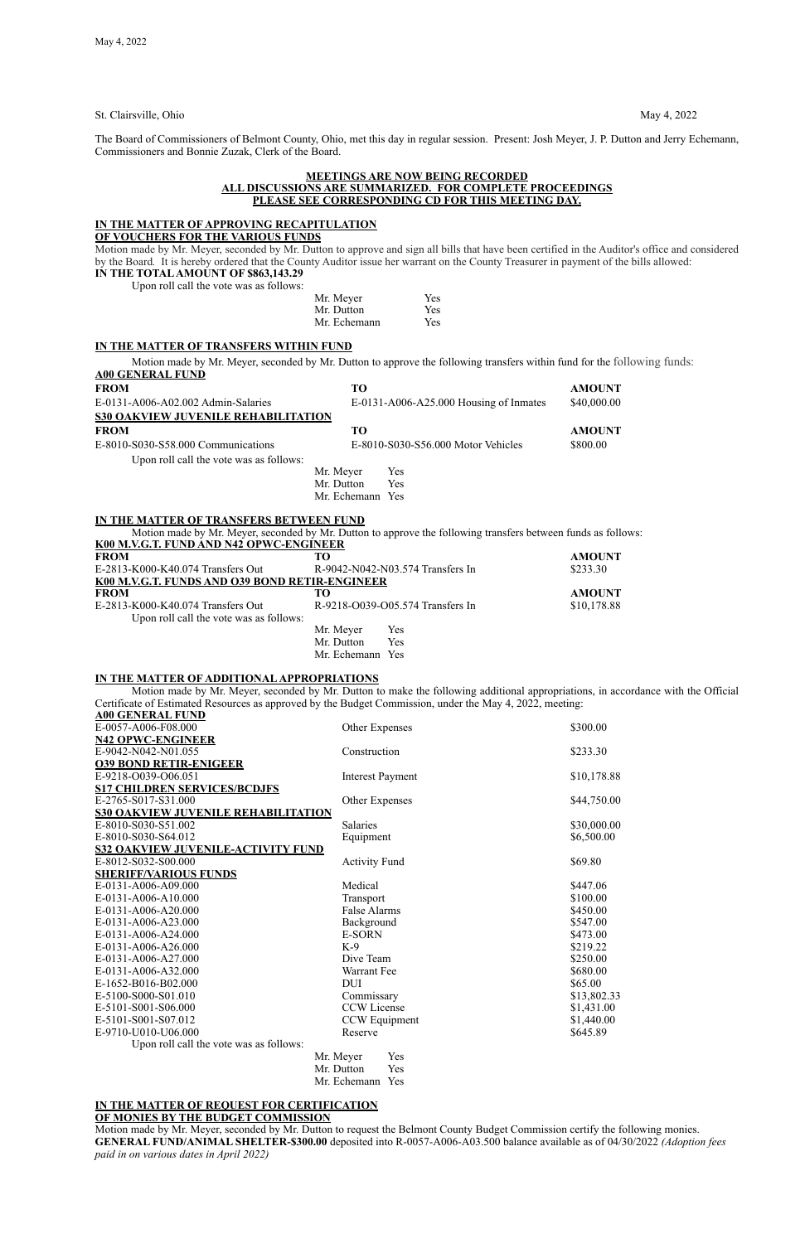St. Clairsville, Ohio May 4, 2022

The Board of Commissioners of Belmont County, Ohio, met this day in regular session. Present: Josh Meyer, J. P. Dutton and Jerry Echemann, Commissioners and Bonnie Zuzak, Clerk of the Board.

### **MEETINGS ARE NOW BEING RECORDED ALL DISCUSSIONS ARE SUMMARIZED. FOR COMPLETE PROCEEDINGS PLEASE SEE CORRESPONDING CD FOR THIS MEETING DAY.**

### **IN THE MATTER OF APPROVING RECAPITULATION**

**OF VOUCHERS FOR THE VARIOUS FUNDS**

Motion made by Mr. Meyer, seconded by Mr. Dutton to approve and sign all bills that have been certified in the Auditor's office and considered by the Board*.* It is hereby ordered that the County Auditor issue her warrant on the County Treasurer in payment of the bills allowed:

## **IN THE TOTAL AMOUNT OF \$863,143.29**

Upon roll call the vote was as follows:

| Mr. Meyer    | Yes |
|--------------|-----|
| Mr. Dutton   | Yes |
| Mr. Echemann | Yes |

#### **IN THE MATTER OF TRANSFERS WITHIN FUND**

Motion made by Mr. Meyer, seconded by Mr. Dutton to approve the following transfers within fund for the following funds: **A00 GENERAL FUND**

| <b>FROM</b>                                | <b>TO</b>        |                                          | <b>AMOUNT</b> |
|--------------------------------------------|------------------|------------------------------------------|---------------|
| E-0131-A006-A02.002 Admin-Salaries         |                  | $E-0131-A006-A25.000$ Housing of Inmates | \$40,000.00   |
| <b>S30 OAKVIEW JUVENILE REHABILITATION</b> |                  |                                          |               |
| <b>FROM</b>                                | TО               |                                          | <b>AMOUNT</b> |
| E-8010-S030-S58.000 Communications         |                  | E-8010-S030-S56.000 Motor Vehicles       | \$800.00      |
| Upon roll call the vote was as follows:    |                  |                                          |               |
|                                            | Mr. Meyer        | Yes                                      |               |
|                                            | Mr. Dutton       | Yes                                      |               |
|                                            | Mr. Echemann Yes |                                          |               |
|                                            |                  |                                          |               |

#### **IN THE MATTER OF TRANSFERS BETWEEN FUND**

Motion made by Mr. Meyer, seconded by Mr. Dutton to approve the following transfers between funds as follows:

| K00 M.V.G.T. FUND AND N42 OPWC-ENGINEER        |              |                                  |               |
|------------------------------------------------|--------------|----------------------------------|---------------|
| <b>FROM</b>                                    | TО           |                                  | <b>AMOUNT</b> |
| E-2813-K000-K40.074 Transfers Out              |              | R-9042-N042-N03.574 Transfers In | \$233.30      |
| K00 M.V.G.T. FUNDS AND O39 BOND RETIR-ENGINEER |              |                                  |               |
| <b>FROM</b>                                    | TО           |                                  | <b>AMOUNT</b> |
| E-2813-K000-K40.074 Transfers Out              |              | R-9218-O039-O05.574 Transfers In | \$10,178.88   |
| Upon roll call the vote was as follows:        |              |                                  |               |
|                                                | Mr. Meyer    | Yes                              |               |
|                                                | Mr. Dutton   | Yes                              |               |
|                                                | Mr. Echemann | Yes                              |               |

#### **IN THE MATTER OF ADDITIONAL APPROPRIATIONS**

Motion made by Mr. Meyer, seconded by Mr. Dutton to make the following additional appropriations, in accordance with the Official Certificate of Estimated Resources as approved by the Budget Commission, under the May 4, 2022, meeting: **A00 GENERAL FUND**

| AUU GENEKAL FUND                           |                         |             |
|--------------------------------------------|-------------------------|-------------|
| E-0057-A006-F08.000                        | Other Expenses          | \$300.00    |
| <b>N42 OPWC-ENGINEER</b>                   |                         |             |
| E-9042-N042-N01.055                        | Construction            | \$233.30    |
| <b>039 BOND RETIR-ENIGEER</b>              |                         |             |
| E-9218-O039-O06.051                        | <b>Interest Payment</b> | \$10,178.88 |
| <b>S17 CHILDREN SERVICES/BCDJFS</b>        |                         |             |
| E-2765-S017-S31.000                        | Other Expenses          | \$44,750.00 |
| <b>S30 OAKVIEW JUVENILE REHABILITATION</b> |                         |             |
| E-8010-S030-S51.002                        | <b>Salaries</b>         | \$30,000.00 |
| E-8010-S030-S64.012                        | Equipment               | \$6,500.00  |
| <b>S32 OAKVIEW JUVENILE-ACTIVITY FUND</b>  |                         |             |
| E-8012-S032-S00.000                        | <b>Activity Fund</b>    | \$69.80     |
| <b>SHERIFF/VARIOUS FUNDS</b>               |                         |             |
| E-0131-A006-A09.000                        | Medical                 | \$447.06    |
| E-0131-A006-A10.000                        | Transport               | \$100.00    |
| E-0131-A006-A20.000                        | <b>False Alarms</b>     | \$450.00    |
| E-0131-A006-A23.000                        | Background              | \$547.00    |
| E-0131-A006-A24.000                        | <b>E-SORN</b>           | \$473.00    |
| E-0131-A006-A26.000                        | $K-9$                   | \$219.22    |
| E-0131-A006-A27.000                        | Dive Team               | \$250.00    |
| E-0131-A006-A32.000                        | Warrant Fee             | \$680.00    |
| E-1652-B016-B02.000                        | <b>DUI</b>              | \$65.00     |
| E-5100-S000-S01.010                        | Commissary              | \$13,802.33 |
| E-5101-S001-S06.000                        | <b>CCW</b> License      | \$1,431.00  |
| E-5101-S001-S07.012                        | CCW Equipment           | \$1,440.00  |
| E-9710-U010-U06.000                        | Reserve                 | \$645.89    |
| Upon roll call the vote was as follows:    |                         |             |
|                                            | Mr. Meyer<br>Yes        |             |

Mr. Dutton Yes Mr. Echemann Yes

**IN THE MATTER OF REQUEST FOR CERTIFICATION OF MONIES BY THE BUDGET COMMISSION**

Motion made by Mr. Meyer, seconded by Mr. Dutton to request the Belmont County Budget Commission certify the following monies. **GENERAL FUND/ANIMAL SHELTER-\$300.00** deposited into R-0057-A006-A03.500 balance available as of 04/30/2022 *(Adoption fees paid in on various dates in April 2022)*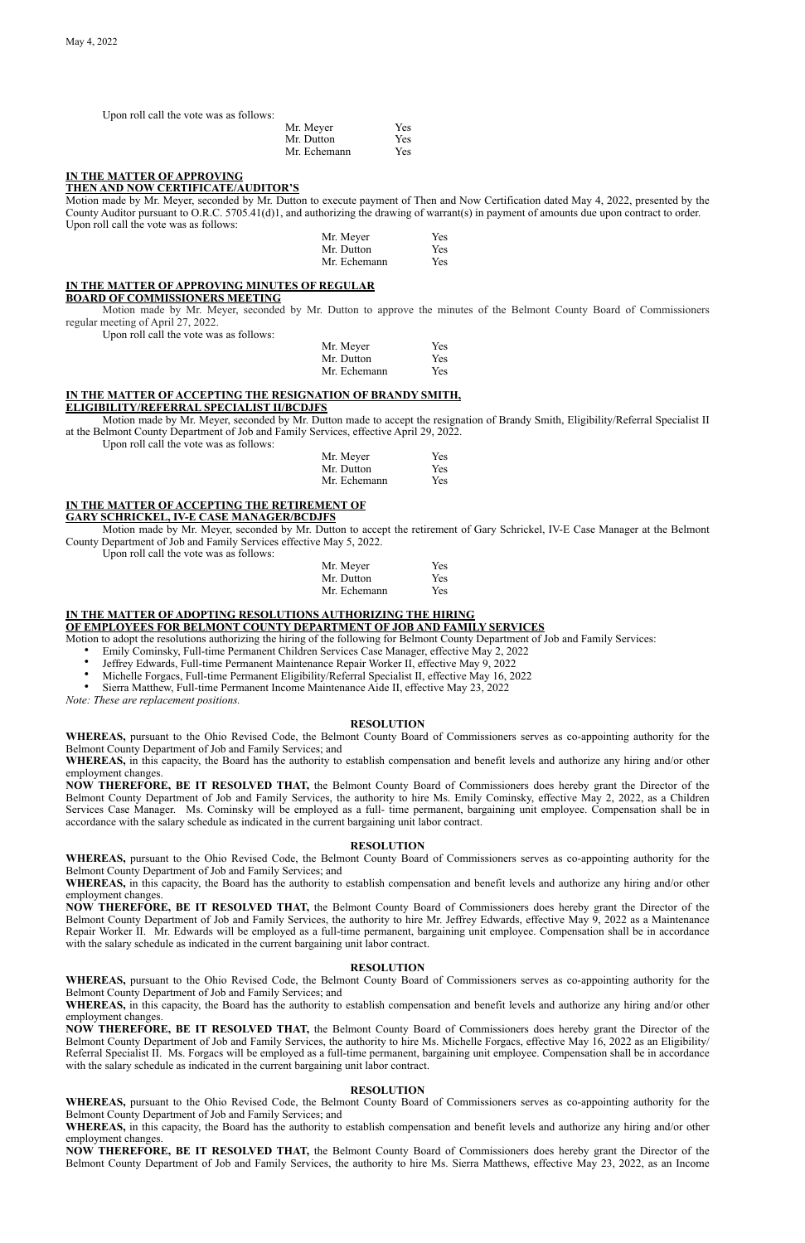Upon roll call the vote was as follows:

| Mr. Meyer    | Yes        |
|--------------|------------|
| Mr. Dutton   | <b>Yes</b> |
| Mr. Echemann | <b>Yes</b> |

## **IN THE MATTER OF APPROVING**

### **THEN AND NOW CERTIFICATE/AUDITOR'S**

Motion made by Mr. Meyer, seconded by Mr. Dutton to execute payment of Then and Now Certification dated May 4, 2022, presented by the County Auditor pursuant to O.R.C. 5705.41(d)1, and authorizing the drawing of warrant(s) in payment of amounts due upon contract to order. Upon roll call the vote was as follows:

| Mr. Meyer    | Yes |
|--------------|-----|
| Mr. Dutton   | Yes |
| Mr. Echemann | Yes |

#### **IN THE MATTER OF APPROVING MINUTES OF REGULAR BOARD OF COMMISSIONERS MEETING**

Motion made by Mr. Meyer, seconded by Mr. Dutton to approve the minutes of the Belmont County Board of Commissioners regular meeting of April 27, 2022.

Upon roll call the vote was as follows:

| Mr. Meyer    | <b>Yes</b> |
|--------------|------------|
| Mr. Dutton   | <b>Yes</b> |
| Mr. Echemann | <b>Yes</b> |

## **IN THE MATTER OF ACCEPTING THE RESIGNATION OF BRANDY SMITH,**

**ELIGIBILITY/REFERRAL SPECIALIST II/BCDJFS**

Motion made by Mr. Meyer, seconded by Mr. Dutton made to accept the resignation of Brandy Smith, Eligibility/Referral Specialist II at the Belmont County Department of Job and Family Services, effective April 29, 2022.

Upon roll call the vote was as follows:

| Mr. Meyer    | Yes        |
|--------------|------------|
| Mr. Dutton   | <b>Yes</b> |
| Mr. Echemann | <b>Yes</b> |

## **IN THE MATTER OF ACCEPTING THE RETIREMENT OF**

#### **GARY SCHRICKEL, IV-E CASE MANAGER/BCDJFS**

Motion made by Mr. Meyer, seconded by Mr. Dutton to accept the retirement of Gary Schrickel, IV-E Case Manager at the Belmont County Department of Job and Family Services effective May 5, 2022.

Upon roll call the vote was as follows:

| Mr. Meyer    | <b>Yes</b> |
|--------------|------------|
| Mr. Dutton   | <b>Yes</b> |
| Mr. Echemann | <b>Yes</b> |

## **IN THE MATTER OF ADOPTING RESOLUTIONS AUTHORIZING THE HIRING**

## **OF EMPLOYEES FOR BELMONT COUNTY DEPARTMENT OF JOB AND FAMILY SERVICES**

Motion to adopt the resolutions authorizing the hiring of the following for Belmont County Department of Job and Family Services:

- Emily Cominsky, Full-time Permanent Children Services Case Manager, effective May 2, 2022
- Jeffrey Edwards, Full-time Permanent Maintenance Repair Worker II, effective May 9, 2022
- Michelle Forgacs, Full-time Permanent Eligibility/Referral Specialist II, effective May 16, 2022
- Sierra Matthew, Full-time Permanent Income Maintenance Aide II, effective May 23, 2022

*Note: These are replacement positions.*

### **RESOLUTION**

**WHEREAS,** pursuant to the Ohio Revised Code, the Belmont County Board of Commissioners serves as co-appointing authority for the Belmont County Department of Job and Family Services; and

**WHEREAS,** in this capacity, the Board has the authority to establish compensation and benefit levels and authorize any hiring and/or other employment changes.

**NOW THEREFORE, BE IT RESOLVED THAT,** the Belmont County Board of Commissioners does hereby grant the Director of the Belmont County Department of Job and Family Services, the authority to hire Ms. Emily Cominsky, effective May 2, 2022, as a Children Services Case Manager. Ms. Cominsky will be employed as a full- time permanent, bargaining unit employee. Compensation shall be in accordance with the salary schedule as indicated in the current bargaining unit labor contract.

### **RESOLUTION**

**WHEREAS,** pursuant to the Ohio Revised Code, the Belmont County Board of Commissioners serves as co-appointing authority for the Belmont County Department of Job and Family Services; and

**WHEREAS,** in this capacity, the Board has the authority to establish compensation and benefit levels and authorize any hiring and/or other employment changes. **NOW THEREFORE, BE IT RESOLVED THAT,** the Belmont County Board of Commissioners does hereby grant the Director of the

Belmont County Department of Job and Family Services, the authority to hire Mr. Jeffrey Edwards, effective May 9, 2022 as a Maintenance Repair Worker II. Mr. Edwards will be employed as a full-time permanent, bargaining unit employee. Compensation shall be in accordance with the salary schedule as indicated in the current bargaining unit labor contract.

### **RESOLUTION**

**WHEREAS,** pursuant to the Ohio Revised Code, the Belmont County Board of Commissioners serves as co-appointing authority for the Belmont County Department of Job and Family Services; and

**WHEREAS,** in this capacity, the Board has the authority to establish compensation and benefit levels and authorize any hiring and/or other employment changes.

**NOW THEREFORE, BE IT RESOLVED THAT,** the Belmont County Board of Commissioners does hereby grant the Director of the Belmont County Department of Job and Family Services, the authority to hire Ms. Michelle Forgacs, effective May 16, 2022 as an Eligibility/ Referral Specialist II. Ms. Forgacs will be employed as a full-time permanent, bargaining unit employee. Compensation shall be in accordance with the salary schedule as indicated in the current bargaining unit labor contract.

### **RESOLUTION**

**WHEREAS,** pursuant to the Ohio Revised Code, the Belmont County Board of Commissioners serves as co-appointing authority for the Belmont County Department of Job and Family Services; and

**WHEREAS,** in this capacity, the Board has the authority to establish compensation and benefit levels and authorize any hiring and/or other employment changes.

**NOW THEREFORE, BE IT RESOLVED THAT,** the Belmont County Board of Commissioners does hereby grant the Director of the Belmont County Department of Job and Family Services, the authority to hire Ms. Sierra Matthews, effective May 23, 2022, as an Income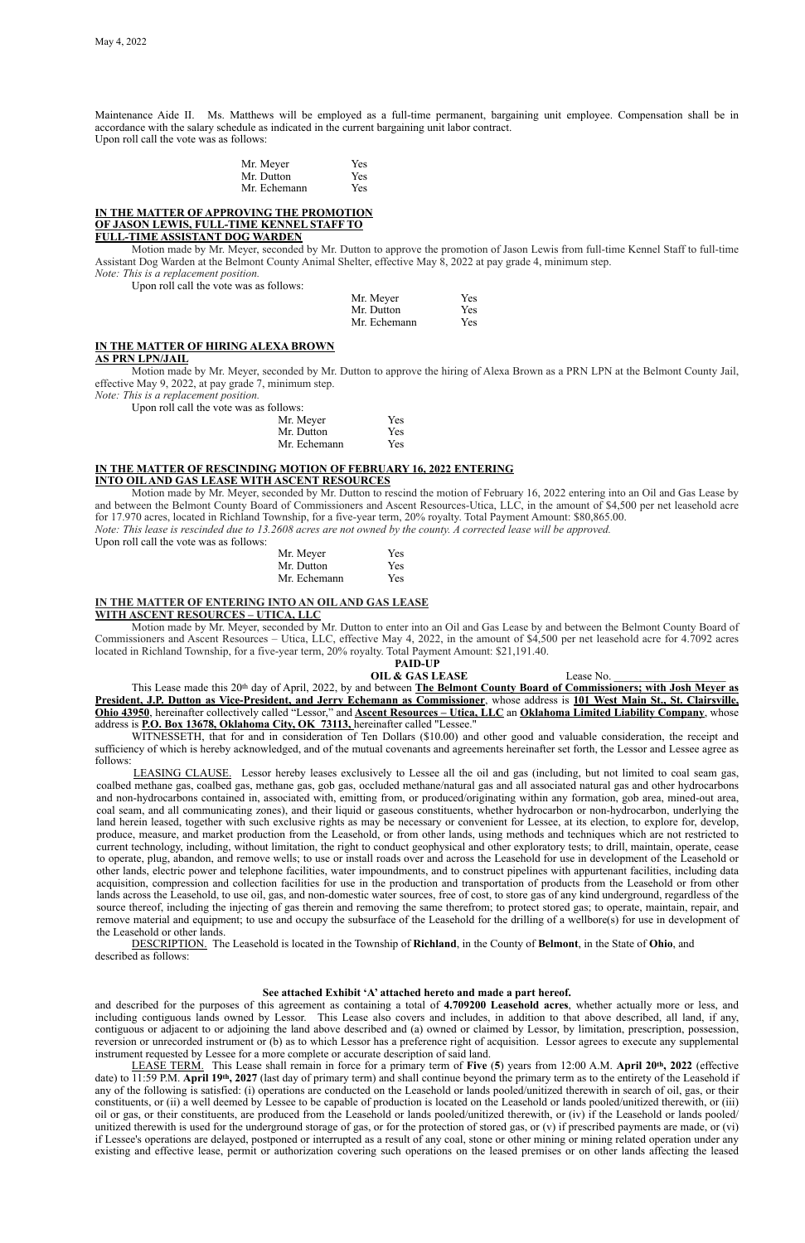Maintenance Aide II. Ms. Matthews will be employed as a full-time permanent, bargaining unit employee. Compensation shall be in accordance with the salary schedule as indicated in the current bargaining unit labor contract. Upon roll call the vote was as follows:

| Mr. Meyer    | Yes |
|--------------|-----|
| Mr. Dutton   | Yes |
| Mr. Echemann | Yes |

### **IN THE MATTER OF APPROVING THE PROMOTION OF JASON LEWIS, FULL-TIME KENNEL STAFF TO FULL-TIME ASSISTANT DOG WARDEN**

Motion made by Mr. Meyer, seconded by Mr. Dutton to approve the promotion of Jason Lewis from full-time Kennel Staff to full-time Assistant Dog Warden at the Belmont County Animal Shelter, effective May 8, 2022 at pay grade 4, minimum step. *Note: This is a replacement position.*

Upon roll call the vote was as follows:

| Mr. Meyer    | Yes |
|--------------|-----|
| Mr. Dutton   | Yes |
| Mr. Echemann | Yes |

## **IN THE MATTER OF HIRING ALEXA BROWN**

#### **AS PRN LPN/JAIL**

Motion made by Mr. Meyer, seconded by Mr. Dutton to approve the hiring of Alexa Brown as a PRN LPN at the Belmont County Jail, effective May 9, 2022, at pay grade 7, minimum step.

*Note: This is a replacement position.*

Upon roll call the vote was as follows:

| Mr. Meyer    | <b>Yes</b> |
|--------------|------------|
| Mr. Dutton   | <b>Yes</b> |
| Mr. Echemann | <b>Yes</b> |

### **IN THE MATTER OF RESCINDING MOTION OF FEBRUARY 16, 2022 ENTERING INTO OIL AND GAS LEASE WITH ASCENT RESOURCES**

Motion made by Mr. Meyer, seconded by Mr. Dutton to rescind the motion of February 16, 2022 entering into an Oil and Gas Lease by and between the Belmont County Board of Commissioners and Ascent Resources-Utica, LLC, in the amount of \$4,500 per net leasehold acre for 17.970 acres, located in Richland Township, for a five-year term, 20% royalty. Total Payment Amount: \$80,865.00. *Note: This lease is rescinded due to 13.2608 acres are not owned by the county. A corrected lease will be approved.*

Upon roll call the vote was as follows:

| Mr. Meyer    | Yes |
|--------------|-----|
| Mr. Dutton   | Yes |
| Mr. Echemann | Yes |

### **IN THE MATTER OF ENTERING INTO AN OIL AND GAS LEASE WITH ASCENT RESOURCES – UTICA, LLC**

Motion made by Mr. Meyer, seconded by Mr. Dutton to enter into an Oil and Gas Lease by and between the Belmont County Board of Commissioners and Ascent Resources – Utica, LLC, effective May 4, 2022, in the amount of \$4,500 per net leasehold acre for 4.7092 acres located in Richland Township, for a five-year term, 20% royalty. Total Payment Amount: \$21,191.40.

#### **PAID-UP**

**OIL & GAS LEASE** Lease No.

This Lease made this 20th day of April, 2022, by and between **The Belmont County Board of Commissioners; with Josh Meyer as President, J.P. Dutton as Vice-President, and Jerry Echemann as Commissioner**, whose address is **101 West Main St., St. Clairsville, Ohio 43950**, hereinafter collectively called "Lessor," and **Ascent Resources – Utica, LLC** an **Oklahoma Limited Liability Company**, whose address is **P.O. Box 13678, Oklahoma City, OK 73113,** hereinafter called "Lessee."

WITNESSETH, that for and in consideration of Ten Dollars (\$10.00) and other good and valuable consideration, the receipt and sufficiency of which is hereby acknowledged, and of the mutual covenants and agreements hereinafter set forth, the Lessor and Lessee agree as follows:

LEASING CLAUSE. Lessor hereby leases exclusively to Lessee all the oil and gas (including, but not limited to coal seam gas, coalbed methane gas, coalbed gas, methane gas, gob gas, occluded methane/natural gas and all associated natural gas and other hydrocarbons and non-hydrocarbons contained in, associated with, emitting from, or produced/originating within any formation, gob area, mined-out area, coal seam, and all communicating zones), and their liquid or gaseous constituents, whether hydrocarbon or non-hydrocarbon, underlying the land herein leased, together with such exclusive rights as may be necessary or convenient for Lessee, at its election, to explore for, develop, produce, measure, and market production from the Leasehold, or from other lands, using methods and techniques which are not restricted to current technology, including, without limitation, the right to conduct geophysical and other exploratory tests; to drill, maintain, operate, cease to operate, plug, abandon, and remove wells; to use or install roads over and across the Leasehold for use in development of the Leasehold or other lands, electric power and telephone facilities, water impoundments, and to construct pipelines with appurtenant facilities, including data acquisition, compression and collection facilities for use in the production and transportation of products from the Leasehold or from other lands across the Leasehold, to use oil, gas, and non-domestic water sources, free of cost, to store gas of any kind underground, regardless of the source thereof, including the injecting of gas therein and removing the same therefrom; to protect stored gas; to operate, maintain, repair, and remove material and equipment; to use and occupy the subsurface of the Leasehold for the drilling of a wellbore(s) for use in development of the Leasehold or other lands.

DESCRIPTION. The Leasehold is located in the Township of **Richland**, in the County of **Belmont**, in the State of **Ohio**, and described as follows:

### **See attached Exhibit 'A' attached hereto and made a part hereof.**

and described for the purposes of this agreement as containing a total of **4.709200 Leasehold acres**, whether actually more or less, and including contiguous lands owned by Lessor. This Lease also covers and includes, in addition to that above described, all land, if any, contiguous or adjacent to or adjoining the land above described and (a) owned or claimed by Lessor, by limitation, prescription, possession, reversion or unrecorded instrument or (b) as to which Lessor has a preference right of acquisition. Lessor agrees to execute any supplemental instrument requested by Lessee for a more complete or accurate description of said land.

LEASE TERM. This Lease shall remain in force for a primary term of **Five** (**5**) years from 12:00 A.M. **April 20th, 2022** (effective date) to 11:59 P.M. **April 19th, 2027** (last day of primary term) and shall continue beyond the primary term as to the entirety of the Leasehold if any of the following is satisfied: (i) operations are conducted on the Leasehold or lands pooled/unitized therewith in search of oil, gas, or their constituents, or (ii) a well deemed by Lessee to be capable of production is located on the Leasehold or lands pooled/unitized therewith, or (iii) oil or gas, or their constituents, are produced from the Leasehold or lands pooled/unitized therewith, or (iv) if the Leasehold or lands pooled/ unitized therewith is used for the underground storage of gas, or for the protection of stored gas, or (v) if prescribed payments are made, or (vi) if Lessee's operations are delayed, postponed or interrupted as a result of any coal, stone or other mining or mining related operation under any existing and effective lease, permit or authorization covering such operations on the leased premises or on other lands affecting the leased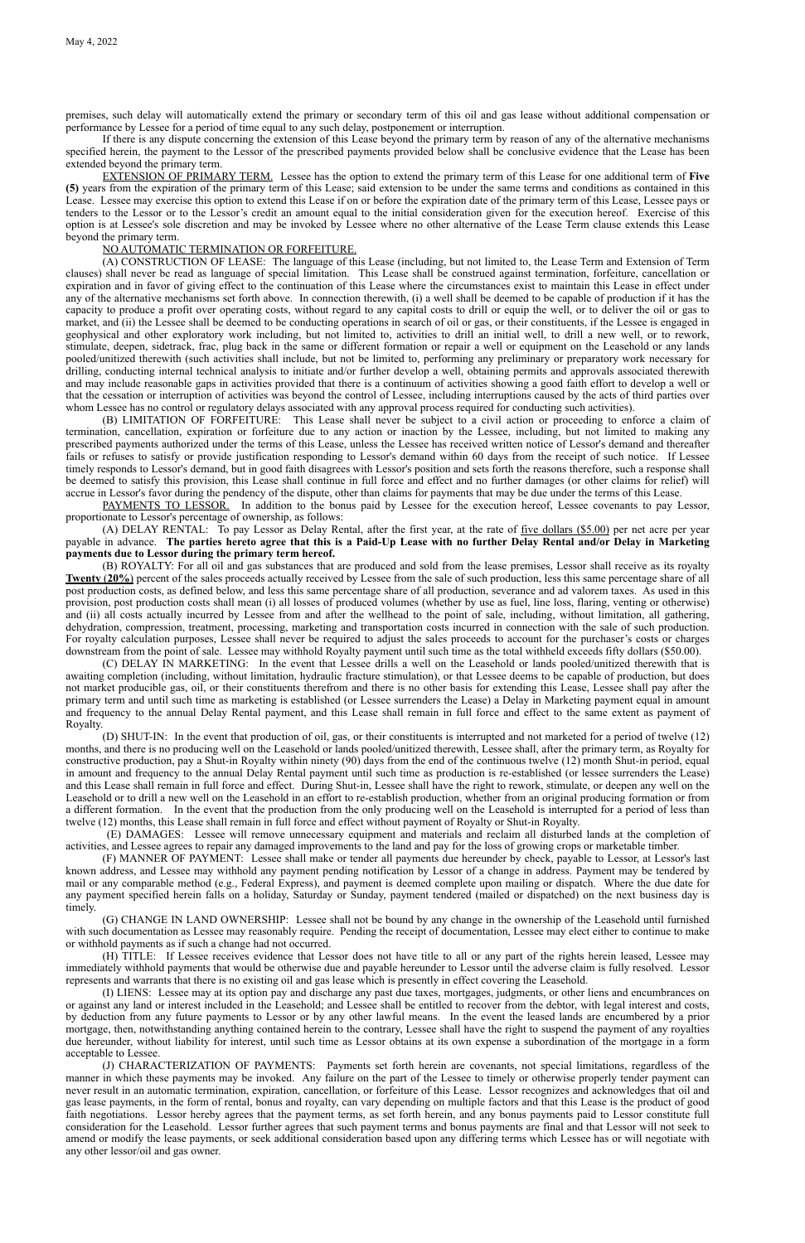premises, such delay will automatically extend the primary or secondary term of this oil and gas lease without additional compensation or performance by Lessee for a period of time equal to any such delay, postponement or interruption.

If there is any dispute concerning the extension of this Lease beyond the primary term by reason of any of the alternative mechanisms specified herein, the payment to the Lessor of the prescribed payments provided below shall be conclusive evidence that the Lease has been extended beyond the primary term.

(A) CONSTRUCTION OF LEASE: The language of this Lease (including, but not limited to, the Lease Term and Extension of Term clauses) shall never be read as language of special limitation. This Lease shall be construed against termination, forfeiture, cancellation or expiration and in favor of giving effect to the continuation of this Lease where the circumstances exist to maintain this Lease in effect under any of the alternative mechanisms set forth above. In connection therewith, (i) a well shall be deemed to be capable of production if it has the capacity to produce a profit over operating costs, without regard to any capital costs to drill or equip the well, or to deliver the oil or gas to market, and (ii) the Lessee shall be deemed to be conducting operations in search of oil or gas, or their constituents, if the Lessee is engaged in geophysical and other exploratory work including, but not limited to, activities to drill an initial well, to drill a new well, or to rework, stimulate, deepen, sidetrack, frac, plug back in the same or different formation or repair a well or equipment on the Leasehold or any lands pooled/unitized therewith (such activities shall include, but not be limited to, performing any preliminary or preparatory work necessary for drilling, conducting internal technical analysis to initiate and/or further develop a well, obtaining permits and approvals associated therewith and may include reasonable gaps in activities provided that there is a continuum of activities showing a good faith effort to develop a well or that the cessation or interruption of activities was beyond the control of Lessee, including interruptions caused by the acts of third parties over whom Lessee has no control or regulatory delays associated with any approval process required for conducting such activities).

EXTENSION OF PRIMARY TERM. Lessee has the option to extend the primary term of this Lease for one additional term of **Five (5)** years from the expiration of the primary term of this Lease; said extension to be under the same terms and conditions as contained in this Lease. Lessee may exercise this option to extend this Lease if on or before the expiration date of the primary term of this Lease, Lessee pays or tenders to the Lessor or to the Lessor's credit an amount equal to the initial consideration given for the execution hereof. Exercise of this option is at Lessee's sole discretion and may be invoked by Lessee where no other alternative of the Lease Term clause extends this Lease beyond the primary term.

#### NO AUTOMATIC TERMINATION OR FORFEITURE.

(B) LIMITATION OF FORFEITURE: This Lease shall never be subject to a civil action or proceeding to enforce a claim of termination, cancellation, expiration or forfeiture due to any action or inaction by the Lessee, including, but not limited to making any prescribed payments authorized under the terms of this Lease, unless the Lessee has received written notice of Lessor's demand and thereafter fails or refuses to satisfy or provide justification responding to Lessor's demand within 60 days from the receipt of such notice. If Lessee timely responds to Lessor's demand, but in good faith disagrees with Lessor's position and sets forth the reasons therefore, such a response shall be deemed to satisfy this provision, this Lease shall continue in full force and effect and no further damages (or other claims for relief) will accrue in Lessor's favor during the pendency of the dispute, other than claims for payments that may be due under the terms of this Lease.

PAYMENTS TO LESSOR. In addition to the bonus paid by Lessee for the execution hereof, Lessee covenants to pay Lessor, proportionate to Lessor's percentage of ownership, as follows:

(A) DELAY RENTAL: To pay Lessor as Delay Rental, after the first year, at the rate of five dollars (\$5.00) per net acre per year payable in advance. **The parties hereto agree that this is a Paid-Up Lease with no further Delay Rental and/or Delay in Marketing payments due to Lessor during the primary term hereof.**

(B) ROYALTY: For all oil and gas substances that are produced and sold from the lease premises, Lessor shall receive as its royalty **Twenty** (**20%**) percent of the sales proceeds actually received by Lessee from the sale of such production, less this same percentage share of all post production costs, as defined below, and less this same percentage share of all production, severance and ad valorem taxes. As used in this provision, post production costs shall mean (i) all losses of produced volumes (whether by use as fuel, line loss, flaring, venting or otherwise) and (ii) all costs actually incurred by Lessee from and after the wellhead to the point of sale, including, without limitation, all gathering, dehydration, compression, treatment, processing, marketing and transportation costs incurred in connection with the sale of such production. For royalty calculation purposes, Lessee shall never be required to adjust the sales proceeds to account for the purchaser's costs or charges downstream from the point of sale. Lessee may withhold Royalty payment until such time as the total withheld exceeds fifty dollars (\$50.00).

(C) DELAY IN MARKETING: In the event that Lessee drills a well on the Leasehold or lands pooled/unitized therewith that is awaiting completion (including, without limitation, hydraulic fracture stimulation), or that Lessee deems to be capable of production, but does not market producible gas, oil, or their constituents therefrom and there is no other basis for extending this Lease, Lessee shall pay after the primary term and until such time as marketing is established (or Lessee surrenders the Lease) a Delay in Marketing payment equal in amount and frequency to the annual Delay Rental payment, and this Lease shall remain in full force and effect to the same extent as payment of Royalty.

(D) SHUT-IN: In the event that production of oil, gas, or their constituents is interrupted and not marketed for a period of twelve (12) months, and there is no producing well on the Leasehold or lands pooled/unitized therewith, Lessee shall, after the primary term, as Royalty for constructive production, pay a Shut-in Royalty within ninety (90) days from the end of the continuous twelve (12) month Shut-in period, equal in amount and frequency to the annual Delay Rental payment until such time as production is re-established (or lessee surrenders the Lease) and this Lease shall remain in full force and effect. During Shut-in, Lessee shall have the right to rework, stimulate, or deepen any well on the Leasehold or to drill a new well on the Leasehold in an effort to re-establish production, whether from an original producing formation or from a different formation. In the event that the production from the only producing well on the Leasehold is interrupted for a period of less than twelve (12) months, this Lease shall remain in full force and effect without payment of Royalty or Shut-in Royalty.

 (E) DAMAGES: Lessee will remove unnecessary equipment and materials and reclaim all disturbed lands at the completion of activities, and Lessee agrees to repair any damaged improvements to the land and pay for the loss of growing crops or marketable timber.

(F) MANNER OF PAYMENT: Lessee shall make or tender all payments due hereunder by check, payable to Lessor, at Lessor's last known address, and Lessee may withhold any payment pending notification by Lessor of a change in address. Payment may be tendered by mail or any comparable method (e.g., Federal Express), and payment is deemed complete upon mailing or dispatch. Where the due date for any payment specified herein falls on a holiday, Saturday or Sunday, payment tendered (mailed or dispatched) on the next business day is timely. (G) CHANGE IN LAND OWNERSHIP: Lessee shall not be bound by any change in the ownership of the Leasehold until furnished with such documentation as Lessee may reasonably require. Pending the receipt of documentation, Lessee may elect either to continue to make or withhold payments as if such a change had not occurred.

(H) TITLE: If Lessee receives evidence that Lessor does not have title to all or any part of the rights herein leased, Lessee may immediately withhold payments that would be otherwise due and payable hereunder to Lessor until the adverse claim is fully resolved. Lessor represents and warrants that there is no existing oil and gas lease which is presently in effect covering the Leasehold.

(I) LIENS: Lessee may at its option pay and discharge any past due taxes, mortgages, judgments, or other liens and encumbrances on or against any land or interest included in the Leasehold; and Lessee shall be entitled to recover from the debtor, with legal interest and costs, by deduction from any future payments to Lessor or by any other lawful means. In the event the leased lands are encumbered by a prior mortgage, then, notwithstanding anything contained herein to the contrary, Lessee shall have the right to suspend the payment of any royalties due hereunder, without liability for interest, until such time as Lessor obtains at its own expense a subordination of the mortgage in a form acceptable to Lessee.

(J) CHARACTERIZATION OF PAYMENTS: Payments set forth herein are covenants, not special limitations, regardless of the manner in which these payments may be invoked. Any failure on the part of the Lessee to timely or otherwise properly tender payment can never result in an automatic termination, expiration, cancellation, or forfeiture of this Lease. Lessor recognizes and acknowledges that oil and gas lease payments, in the form of rental, bonus and royalty, can vary depending on multiple factors and that this Lease is the product of good faith negotiations. Lessor hereby agrees that the payment terms, as set forth herein, and any bonus payments paid to Lessor constitute full consideration for the Leasehold. Lessor further agrees that such payment terms and bonus payments are final and that Lessor will not seek to amend or modify the lease payments, or seek additional consideration based upon any differing terms which Lessee has or will negotiate with any other lessor/oil and gas owner.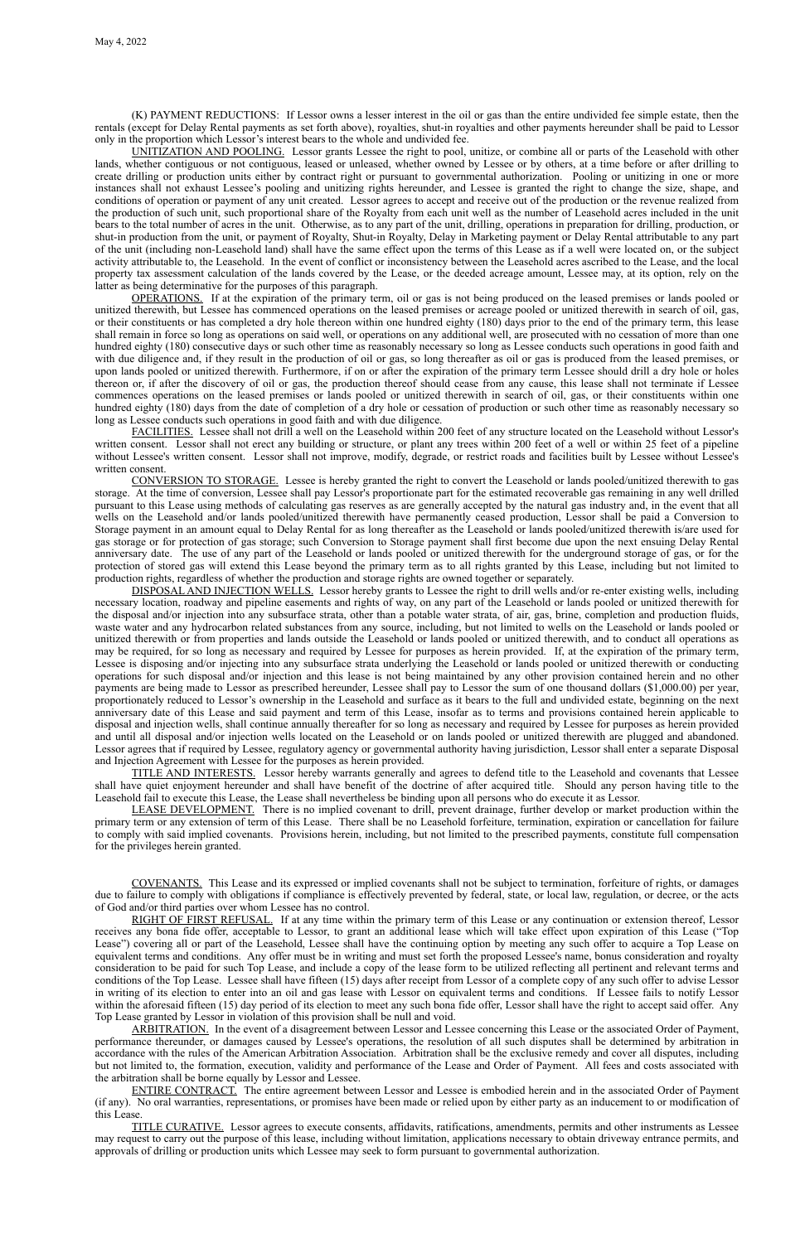(K) PAYMENT REDUCTIONS: If Lessor owns a lesser interest in the oil or gas than the entire undivided fee simple estate, then the rentals (except for Delay Rental payments as set forth above), royalties, shut-in royalties and other payments hereunder shall be paid to Lessor only in the proportion which Lessor's interest bears to the whole and undivided fee.

UNITIZATION AND POOLING. Lessor grants Lessee the right to pool, unitize, or combine all or parts of the Leasehold with other lands, whether contiguous or not contiguous, leased or unleased, whether owned by Lessee or by others, at a time before or after drilling to create drilling or production units either by contract right or pursuant to governmental authorization. Pooling or unitizing in one or more instances shall not exhaust Lessee's pooling and unitizing rights hereunder, and Lessee is granted the right to change the size, shape, and conditions of operation or payment of any unit created. Lessor agrees to accept and receive out of the production or the revenue realized from the production of such unit, such proportional share of the Royalty from each unit well as the number of Leasehold acres included in the unit bears to the total number of acres in the unit. Otherwise, as to any part of the unit, drilling, operations in preparation for drilling, production, or shut-in production from the unit, or payment of Royalty, Shut-in Royalty, Delay in Marketing payment or Delay Rental attributable to any part of the unit (including non-Leasehold land) shall have the same effect upon the terms of this Lease as if a well were located on, or the subject activity attributable to, the Leasehold. In the event of conflict or inconsistency between the Leasehold acres ascribed to the Lease, and the local property tax assessment calculation of the lands covered by the Lease, or the deeded acreage amount, Lessee may, at its option, rely on the latter as being determinative for the purposes of this paragraph.

OPERATIONS. If at the expiration of the primary term, oil or gas is not being produced on the leased premises or lands pooled or unitized therewith, but Lessee has commenced operations on the leased premises or acreage pooled or unitized therewith in search of oil, gas, or their constituents or has completed a dry hole thereon within one hundred eighty (180) days prior to the end of the primary term, this lease shall remain in force so long as operations on said well, or operations on any additional well, are prosecuted with no cessation of more than one hundred eighty (180) consecutive days or such other time as reasonably necessary so long as Lessee conducts such operations in good faith and with due diligence and, if they result in the production of oil or gas, so long thereafter as oil or gas is produced from the leased premises, or upon lands pooled or unitized therewith. Furthermore, if on or after the expiration of the primary term Lessee should drill a dry hole or holes thereon or, if after the discovery of oil or gas, the production thereof should cease from any cause, this lease shall not terminate if Lessee commences operations on the leased premises or lands pooled or unitized therewith in search of oil, gas, or their constituents within one hundred eighty (180) days from the date of completion of a dry hole or cessation of production or such other time as reasonably necessary so long as Lessee conducts such operations in good faith and with due diligence.

FACILITIES. Lessee shall not drill a well on the Leasehold within 200 feet of any structure located on the Leasehold without Lessor's written consent. Lessor shall not erect any building or structure, or plant any trees within 200 feet of a well or within 25 feet of a pipeline without Lessee's written consent. Lessor shall not improve, modify, degrade, or restrict roads and facilities built by Lessee without Lessee's written consent.

CONVERSION TO STORAGE. Lessee is hereby granted the right to convert the Leasehold or lands pooled/unitized therewith to gas storage. At the time of conversion, Lessee shall pay Lessor's proportionate part for the estimated recoverable gas remaining in any well drilled pursuant to this Lease using methods of calculating gas reserves as are generally accepted by the natural gas industry and, in the event that all wells on the Leasehold and/or lands pooled/unitized therewith have permanently ceased production, Lessor shall be paid a Conversion to Storage payment in an amount equal to Delay Rental for as long thereafter as the Leasehold or lands pooled/unitized therewith is/are used for gas storage or for protection of gas storage; such Conversion to Storage payment shall first become due upon the next ensuing Delay Rental anniversary date. The use of any part of the Leasehold or lands pooled or unitized therewith for the underground storage of gas, or for the protection of stored gas will extend this Lease beyond the primary term as to all rights granted by this Lease, including but not limited to production rights, regardless of whether the production and storage rights are owned together or separately.

DISPOSAL AND INJECTION WELLS. Lessor hereby grants to Lessee the right to drill wells and/or re-enter existing wells, including necessary location, roadway and pipeline easements and rights of way, on any part of the Leasehold or lands pooled or unitized therewith for the disposal and/or injection into any subsurface strata, other than a potable water strata, of air, gas, brine, completion and production fluids, waste water and any hydrocarbon related substances from any source, including, but not limited to wells on the Leasehold or lands pooled or unitized therewith or from properties and lands outside the Leasehold or lands pooled or unitized therewith, and to conduct all operations as may be required, for so long as necessary and required by Lessee for purposes as herein provided. If, at the expiration of the primary term, Lessee is disposing and/or injecting into any subsurface strata underlying the Leasehold or lands pooled or unitized therewith or conducting operations for such disposal and/or injection and this lease is not being maintained by any other provision contained herein and no other payments are being made to Lessor as prescribed hereunder, Lessee shall pay to Lessor the sum of one thousand dollars (\$1,000.00) per year, proportionately reduced to Lessor's ownership in the Leasehold and surface as it bears to the full and undivided estate, beginning on the next anniversary date of this Lease and said payment and term of this Lease, insofar as to terms and provisions contained herein applicable to disposal and injection wells, shall continue annually thereafter for so long as necessary and required by Lessee for purposes as herein provided and until all disposal and/or injection wells located on the Leasehold or on lands pooled or unitized therewith are plugged and abandoned. Lessor agrees that if required by Lessee, regulatory agency or governmental authority having jurisdiction, Lessor shall enter a separate Disposal and Injection Agreement with Lessee for the purposes as herein provided.

TITLE AND INTERESTS. Lessor hereby warrants generally and agrees to defend title to the Leasehold and covenants that Lessee shall have quiet enjoyment hereunder and shall have benefit of the doctrine of after acquired title. Should any person having title to the Leasehold fail to execute this Lease, the Lease shall nevertheless be binding upon all persons who do execute it as Lessor.

LEASE DEVELOPMENT. There is no implied covenant to drill, prevent drainage, further develop or market production within the primary term or any extension of term of this Lease. There shall be no Leasehold forfeiture, termination, expiration or cancellation for failure to comply with said implied covenants. Provisions herein, including, but not limited to the prescribed payments, constitute full compensation for the privileges herein granted.

COVENANTS. This Lease and its expressed or implied covenants shall not be subject to termination, forfeiture of rights, or damages due to failure to comply with obligations if compliance is effectively prevented by federal, state, or local law, regulation, or decree, or the acts of God and/or third parties over whom Lessee has no control. RIGHT OF FIRST REFUSAL. If at any time within the primary term of this Lease or any continuation or extension thereof, Lessor receives any bona fide offer, acceptable to Lessor, to grant an additional lease which will take effect upon expiration of this Lease ("Top Lease") covering all or part of the Leasehold, Lessee shall have the continuing option by meeting any such offer to acquire a Top Lease on equivalent terms and conditions. Any offer must be in writing and must set forth the proposed Lessee's name, bonus consideration and royalty consideration to be paid for such Top Lease, and include a copy of the lease form to be utilized reflecting all pertinent and relevant terms and conditions of the Top Lease. Lessee shall have fifteen (15) days after receipt from Lessor of a complete copy of any such offer to advise Lessor in writing of its election to enter into an oil and gas lease with Lessor on equivalent terms and conditions. If Lessee fails to notify Lessor within the aforesaid fifteen (15) day period of its election to meet any such bona fide offer, Lessor shall have the right to accept said offer. Any Top Lease granted by Lessor in violation of this provision shall be null and void. ARBITRATION. In the event of a disagreement between Lessor and Lessee concerning this Lease or the associated Order of Payment, performance thereunder, or damages caused by Lessee's operations, the resolution of all such disputes shall be determined by arbitration in accordance with the rules of the American Arbitration Association. Arbitration shall be the exclusive remedy and cover all disputes, including but not limited to, the formation, execution, validity and performance of the Lease and Order of Payment. All fees and costs associated with the arbitration shall be borne equally by Lessor and Lessee. ENTIRE CONTRACT. The entire agreement between Lessor and Lessee is embodied herein and in the associated Order of Payment (if any). No oral warranties, representations, or promises have been made or relied upon by either party as an inducement to or modification of this Lease.

TITLE CURATIVE. Lessor agrees to execute consents, affidavits, ratifications, amendments, permits and other instruments as Lessee may request to carry out the purpose of this lease, including without limitation, applications necessary to obtain driveway entrance permits, and approvals of drilling or production units which Lessee may seek to form pursuant to governmental authorization.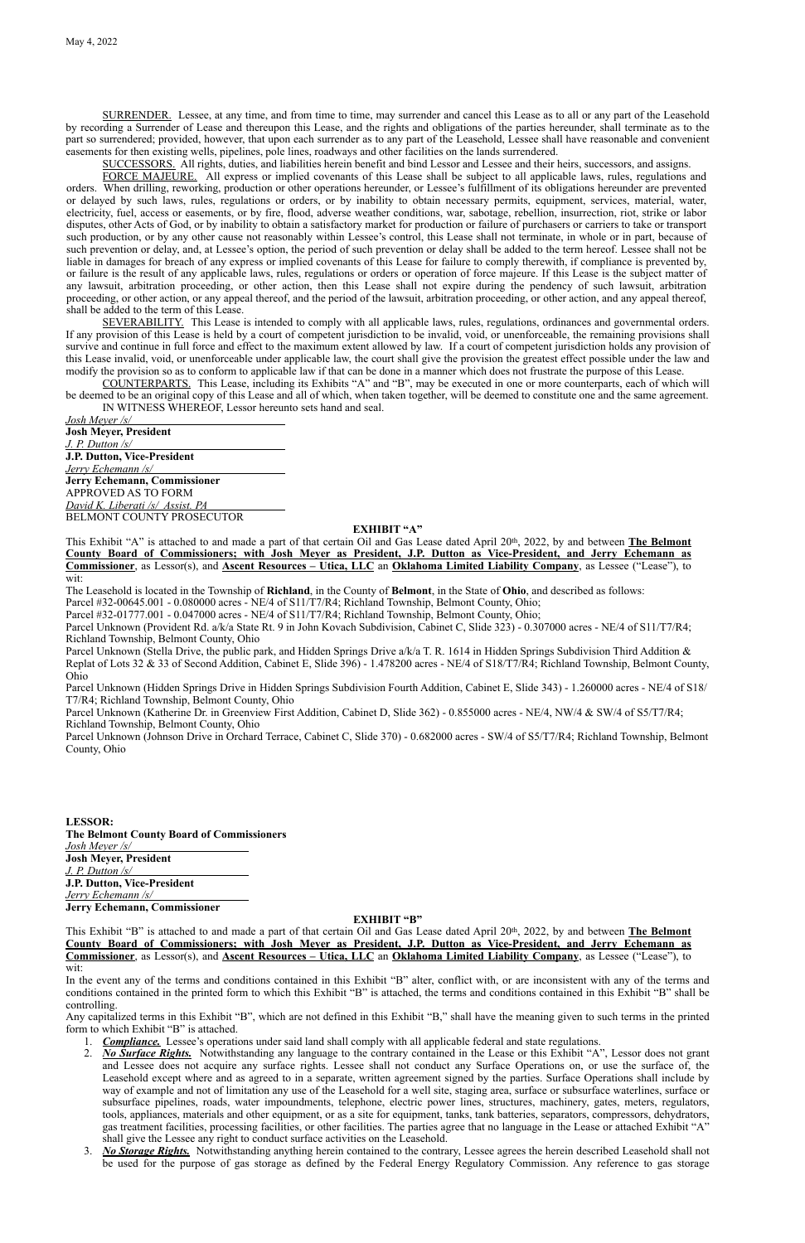SURRENDER. Lessee, at any time, and from time to time, may surrender and cancel this Lease as to all or any part of the Leasehold by recording a Surrender of Lease and thereupon this Lease, and the rights and obligations of the parties hereunder, shall terminate as to the part so surrendered; provided, however, that upon each surrender as to any part of the Leasehold, Lessee shall have reasonable and convenient easements for then existing wells, pipelines, pole lines, roadways and other facilities on the lands surrendered.

SUCCESSORS. All rights, duties, and liabilities herein benefit and bind Lessor and Lessee and their heirs, successors, and assigns.

FORCE MAJEURE. All express or implied covenants of this Lease shall be subject to all applicable laws, rules, regulations and orders. When drilling, reworking, production or other operations hereunder, or Lessee's fulfillment of its obligations hereunder are prevented or delayed by such laws, rules, regulations or orders, or by inability to obtain necessary permits, equipment, services, material, water, electricity, fuel, access or easements, or by fire, flood, adverse weather conditions, war, sabotage, rebellion, insurrection, riot, strike or labor disputes, other Acts of God, or by inability to obtain a satisfactory market for production or failure of purchasers or carriers to take or transport such production, or by any other cause not reasonably within Lessee's control, this Lease shall not terminate, in whole or in part, because of such prevention or delay, and, at Lessee's option, the period of such prevention or delay shall be added to the term hereof. Lessee shall not be liable in damages for breach of any express or implied covenants of this Lease for failure to comply therewith, if compliance is prevented by, or failure is the result of any applicable laws, rules, regulations or orders or operation of force majeure. If this Lease is the subject matter of any lawsuit, arbitration proceeding, or other action, then this Lease shall not expire during the pendency of such lawsuit, arbitration proceeding, or other action, or any appeal thereof, and the period of the lawsuit, arbitration proceeding, or other action, and any appeal thereof, shall be added to the term of this Lease.

Parcel Unknown (Provident Rd. a/k/a State Rt. 9 in John Kovach Subdivision, Cabinet C, Slide 323) - 0.307000 acres - NE/4 of S11/T7/R4; Richland Township, Belmont County, Ohio

Parcel Unknown (Stella Drive, the public park, and Hidden Springs Drive a/k/a T. R. 1614 in Hidden Springs Subdivision Third Addition & Replat of Lots 32 & 33 of Second Addition, Cabinet E, Slide 396) - 1.478200 acres - NE/4 of S18/T7/R4; Richland Township, Belmont County, Ohio

Parcel Unknown (Katherine Dr. in Greenview First Addition, Cabinet D, Slide 362) - 0.855000 acres - NE/4, NW/4 & SW/4 of S5/T7/R4; Richland Township, Belmont County, Ohio

SEVERABILITY. This Lease is intended to comply with all applicable laws, rules, regulations, ordinances and governmental orders. If any provision of this Lease is held by a court of competent jurisdiction to be invalid, void, or unenforceable, the remaining provisions shall survive and continue in full force and effect to the maximum extent allowed by law. If a court of competent jurisdiction holds any provision of this Lease invalid, void, or unenforceable under applicable law, the court shall give the provision the greatest effect possible under the law and modify the provision so as to conform to applicable law if that can be done in a manner which does not frustrate the purpose of this Lease.

COUNTERPARTS. This Lease, including its Exhibits "A" and "B", may be executed in one or more counterparts, each of which will be deemed to be an original copy of this Lease and all of which, when taken together, will be deemed to constitute one and the same agreement. IN WITNESS WHEREOF, Lessor hereunto sets hand and seal.

*Josh Meyer /s/* **Josh Meyer, President** *J. P. Dutton /s/* **J.P. Dutton, Vice-President** *Jerry Echemann /s/* **Jerry Echemann, Commissioner** APPROVED AS TO FORM *David K. Liberati /s/ Assist. PA*

BELMONT COUNTY PROSECUTOR

### **EXHIBIT "A"**

This Exhibit "A" is attached to and made a part of that certain Oil and Gas Lease dated April 20th, 2022, by and between **The Belmont County Board of Commissioners; with Josh Meyer as President, J.P. Dutton as Vice-President, and Jerry Echemann as Commissioner**, as Lessor(s), and **Ascent Resources – Utica, LLC** an **Oklahoma Limited Liability Company**, as Lessee ("Lease"), to wit:

The Leasehold is located in the Township of **Richland**, in the County of **Belmont**, in the State of **Ohio**, and described as follows: Parcel #32-00645.001 - 0.080000 acres - NE/4 of S11/T7/R4; Richland Township, Belmont County, Ohio;

Parcel #32-01777.001 - 0.047000 acres - NE/4 of S11/T7/R4; Richland Township, Belmont County, Ohio;

Parcel Unknown (Hidden Springs Drive in Hidden Springs Subdivision Fourth Addition, Cabinet E, Slide 343) - 1.260000 acres - NE/4 of S18/ T7/R4; Richland Township, Belmont County, Ohio

Parcel Unknown (Johnson Drive in Orchard Terrace, Cabinet C, Slide 370) - 0.682000 acres - SW/4 of S5/T7/R4; Richland Township, Belmont County, Ohio

**LESSOR: The Belmont County Board of Commissioners** *Josh Meyer /s/* **Josh Meyer, President** *J. P. Dutton /s/* **J.P. Dutton, Vice-President** *Jerry Echemann /s/* **Jerry Echemann, Commissioner**

## **EXHIBIT "B"**

This Exhibit "B" is attached to and made a part of that certain Oil and Gas Lease dated April 20th, 2022, by and between **The Belmont County Board of Commissioners; with Josh Meyer as President, J.P. Dutton as Vice-President, and Jerry Echemann as Commissioner**, as Lessor(s), and **Ascent Resources – Utica, LLC** an **Oklahoma Limited Liability Company**, as Lessee ("Lease"), to wit:

In the event any of the terms and conditions contained in this Exhibit "B" alter, conflict with, or are inconsistent with any of the terms and conditions contained in the printed form to which this Exhibit "B" is attached, the terms and conditions contained in this Exhibit "B" shall be controlling.

Any capitalized terms in this Exhibit "B", which are not defined in this Exhibit "B," shall have the meaning given to such terms in the printed form to which Exhibit "B" is attached.

- 1. *Compliance.* Lessee's operations under said land shall comply with all applicable federal and state regulations.
- 2. *No Surface Rights.* Notwithstanding any language to the contrary contained in the Lease or this Exhibit "A", Lessor does not grant and Lessee does not acquire any surface rights. Lessee shall not conduct any Surface Operations on, or use the surface of, the Leasehold except where and as agreed to in a separate, written agreement signed by the parties. Surface Operations shall include by way of example and not of limitation any use of the Leasehold for a well site, staging area, surface or subsurface waterlines, surface or subsurface pipelines, roads, water impoundments, telephone, electric power lines, structures, machinery, gates, meters, regulators, tools, appliances, materials and other equipment, or as a site for equipment, tanks, tank batteries, separators, compressors, dehydrators, gas treatment facilities, processing facilities, or other facilities. The parties agree that no language in the Lease or attached Exhibit "A" shall give the Lessee any right to conduct surface activities on the Leasehold.
- 3. *No Storage Rights.* Notwithstanding anything herein contained to the contrary, Lessee agrees the herein described Leasehold shall not be used for the purpose of gas storage as defined by the Federal Energy Regulatory Commission. Any reference to gas storage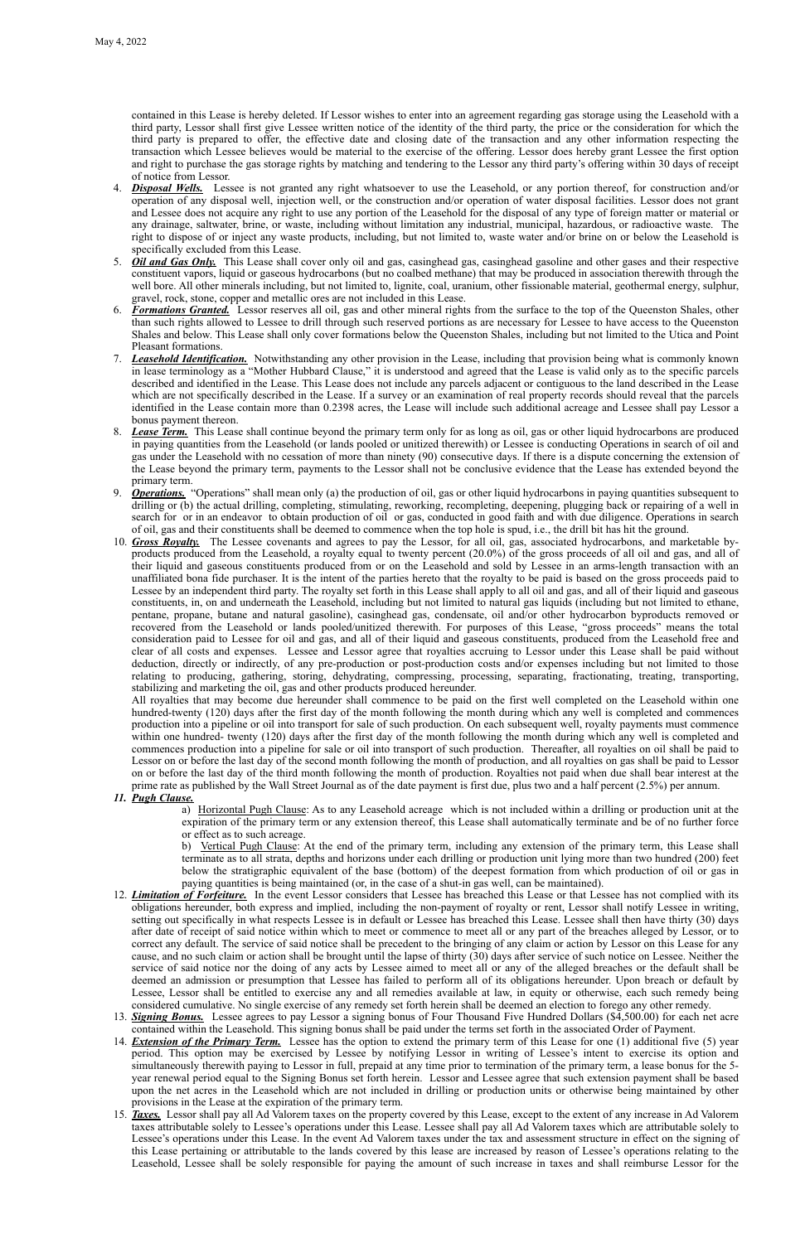contained in this Lease is hereby deleted. If Lessor wishes to enter into an agreement regarding gas storage using the Leasehold with a third party, Lessor shall first give Lessee written notice of the identity of the third party, the price or the consideration for which the third party is prepared to offer, the effective date and closing date of the transaction and any other information respecting the transaction which Lessee believes would be material to the exercise of the offering. Lessor does hereby grant Lessee the first option and right to purchase the gas storage rights by matching and tendering to the Lessor any third party's offering within 30 days of receipt of notice from Lessor.

- 4. *Disposal Wells.* Lessee is not granted any right whatsoever to use the Leasehold, or any portion thereof, for construction and/or operation of any disposal well, injection well, or the construction and/or operation of water disposal facilities. Lessor does not grant and Lessee does not acquire any right to use any portion of the Leasehold for the disposal of any type of foreign matter or material or any drainage, saltwater, brine, or waste, including without limitation any industrial, municipal, hazardous, or radioactive waste. The right to dispose of or inject any waste products, including, but not limited to, waste water and/or brine on or below the Leasehold is specifically excluded from this Lease.
- 5. *Oil and Gas Only.* This Lease shall cover only oil and gas, casinghead gas, casinghead gasoline and other gases and their respective constituent vapors, liquid or gaseous hydrocarbons (but no coalbed methane) that may be produced in association therewith through the well bore. All other minerals including, but not limited to, lignite, coal, uranium, other fissionable material, geothermal energy, sulphur, gravel, rock, stone, copper and metallic ores are not included in this Lease.
- **Formations Granted.** Lessor reserves all oil, gas and other mineral rights from the surface to the top of the Queenston Shales, other than such rights allowed to Lessee to drill through such reserved portions as are necessary for Lessee to have access to the Queenston Shales and below. This Lease shall only cover formations below the Queenston Shales, including but not limited to the Utica and Point Pleasant formations.
- 7. *Leasehold Identification.* Notwithstanding any other provision in the Lease, including that provision being what is commonly known in lease terminology as a "Mother Hubbard Clause," it is understood and agreed that the Lease is valid only as to the specific parcels described and identified in the Lease. This Lease does not include any parcels adjacent or contiguous to the land described in the Lease which are not specifically described in the Lease. If a survey or an examination of real property records should reveal that the parcels identified in the Lease contain more than 0.2398 acres, the Lease will include such additional acreage and Lessee shall pay Lessor a bonus payment thereon.
- 8. *Lease Term.* This Lease shall continue beyond the primary term only for as long as oil, gas or other liquid hydrocarbons are produced in paying quantities from the Leasehold (or lands pooled or unitized therewith) or Lessee is conducting Operations in search of oil and gas under the Leasehold with no cessation of more than ninety (90) consecutive days. If there is a dispute concerning the extension of the Lease beyond the primary term, payments to the Lessor shall not be conclusive evidence that the Lease has extended beyond the primary term.
- 9. *Operations.* "Operations" shall mean only (a) the production of oil, gas or other liquid hydrocarbons in paying quantities subsequent to drilling or (b) the actual drilling, completing, stimulating, reworking, recompleting, deepening, plugging back or repairing of a well in search for or in an endeavor to obtain production of oil or gas, conducted in good faith and with due diligence. Operations in search of oil, gas and their constituents shall be deemed to commence when the top hole is spud, i.e., the drill bit has hit the ground.
- 10. *Gross Royalty.* The Lessee covenants and agrees to pay the Lessor, for all oil, gas, associated hydrocarbons, and marketable byproducts produced from the Leasehold, a royalty equal to twenty percent (20.0%) of the gross proceeds of all oil and gas, and all of their liquid and gaseous constituents produced from or on the Leasehold and sold by Lessee in an arms-length transaction with an unaffiliated bona fide purchaser. It is the intent of the parties hereto that the royalty to be paid is based on the gross proceeds paid to Lessee by an independent third party. The royalty set forth in this Lease shall apply to all oil and gas, and all of their liquid and gaseous constituents, in, on and underneath the Leasehold, including but not limited to natural gas liquids (including but not limited to ethane, pentane, propane, butane and natural gasoline), casinghead gas, condensate, oil and/or other hydrocarbon byproducts removed or recovered from the Leasehold or lands pooled/unitized therewith. For purposes of this Lease, "gross proceeds" means the total consideration paid to Lessee for oil and gas, and all of their liquid and gaseous constituents, produced from the Leasehold free and clear of all costs and expenses. Lessee and Lessor agree that royalties accruing to Lessor under this Lease shall be paid without deduction, directly or indirectly, of any pre-production or post-production costs and/or expenses including but not limited to those relating to producing, gathering, storing, dehydrating, compressing, processing, separating, fractionating, treating, transporting, stabilizing and marketing the oil, gas and other products produced hereunder.

All royalties that may become due hereunder shall commence to be paid on the first well completed on the Leasehold within one hundred-twenty (120) days after the first day of the month following the month during which any well is completed and commences production into a pipeline or oil into transport for sale of such production. On each subsequent well, royalty payments must commence within one hundred- twenty (120) days after the first day of the month following the month during which any well is completed and commences production into a pipeline for sale or oil into transport of such production. Thereafter, all royalties on oil shall be paid to Lessor on or before the last day of the second month following the month of production, and all royalties on gas shall be paid to Lessor on or before the last day of the third month following the month of production. Royalties not paid when due shall bear interest at the prime rate as published by the Wall Street Journal as of the date payment is first due, plus two and a half percent (2.5%) per annum.

*11. Pugh Clause.*

a) Horizontal Pugh Clause: As to any Leasehold acreage which is not included within a drilling or production unit at the expiration of the primary term or any extension thereof, this Lease shall automatically terminate and be of no further force or effect as to such acreage.

b) Vertical Pugh Clause: At the end of the primary term, including any extension of the primary term, this Lease shall terminate as to all strata, depths and horizons under each drilling or production unit lying more than two hundred (200) feet below the stratigraphic equivalent of the base (bottom) of the deepest formation from which production of oil or gas in paying quantities is being maintained (or, in the case of a shut-in gas well, can be maintained).

- 12. *Limitation of Forfeiture.* In the event Lessor considers that Lessee has breached this Lease or that Lessee has not complied with its obligations hereunder, both express and implied, including the non-payment of royalty or rent, Lessor shall notify Lessee in writing, setting out specifically in what respects Lessee is in default or Lessee has breached this Lease. Lessee shall then have thirty (30) days after date of receipt of said notice within which to meet or commence to meet all or any part of the breaches alleged by Lessor, or to correct any default. The service of said notice shall be precedent to the bringing of any claim or action by Lessor on this Lease for any cause, and no such claim or action shall be brought until the lapse of thirty (30) days after service of such notice on Lessee. Neither the service of said notice nor the doing of any acts by Lessee aimed to meet all or any of the alleged breaches or the default shall be deemed an admission or presumption that Lessee has failed to perform all of its obligations hereunder. Upon breach or default by Lessee, Lessor shall be entitled to exercise any and all remedies available at law, in equity or otherwise, each such remedy being considered cumulative. No single exercise of any remedy set forth herein shall be deemed an election to forego any other remedy.
- 13. *Signing Bonus.* Lessee agrees to pay Lessor a signing bonus of Four Thousand Five Hundred Dollars (\$4,500.00) for each net acre contained within the Leasehold. This signing bonus shall be paid under the terms set forth in the associated Order of Payment.
- 14. *Extension of the Primary Term.* Lessee has the option to extend the primary term of this Lease for one (1) additional five (5) year period. This option may be exercised by Lessee by notifying Lessor in writing of Lessee's intent to exercise its option and simultaneously therewith paying to Lessor in full, prepaid at any time prior to termination of the primary term, a lease bonus for the 5 year renewal period equal to the Signing Bonus set forth herein. Lessor and Lessee agree that such extension payment shall be based upon the net acres in the Leasehold which are not included in drilling or production units or otherwise being maintained by other provisions in the Lease at the expiration of the primary term.
- 15. *Taxes.* Lessor shall pay all Ad Valorem taxes on the property covered by this Lease, except to the extent of any increase in Ad Valorem taxes attributable solely to Lessee's operations under this Lease. Lessee shall pay all Ad Valorem taxes which are attributable solely to Lessee's operations under this Lease. In the event Ad Valorem taxes under the tax and assessment structure in effect on the signing of this Lease pertaining or attributable to the lands covered by this lease are increased by reason of Lessee's operations relating to the Leasehold, Lessee shall be solely responsible for paying the amount of such increase in taxes and shall reimburse Lessor for the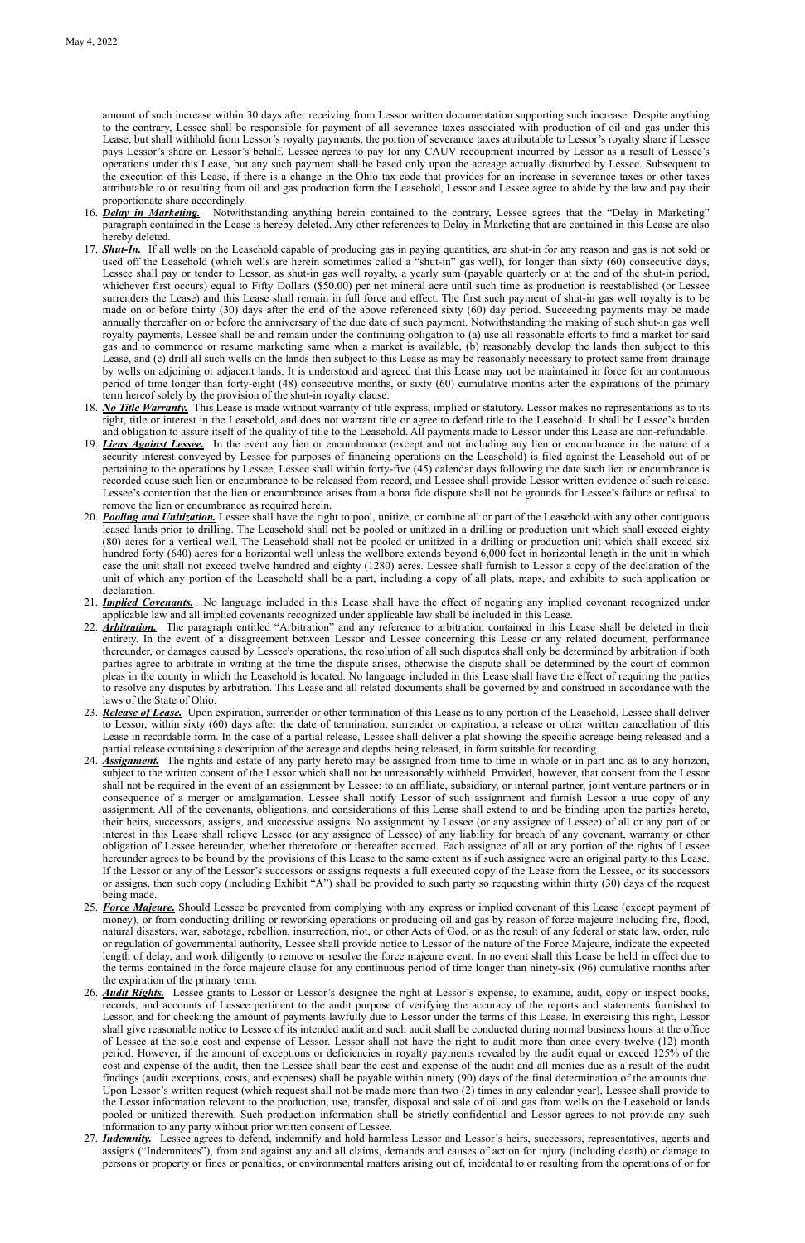amount of such increase within 30 days after receiving from Lessor written documentation supporting such increase. Despite anything to the contrary, Lessee shall be responsible for payment of all severance taxes associated with production of oil and gas under this Lease, but shall withhold from Lessor's royalty payments, the portion of severance taxes attributable to Lessor's royalty share if Lessee pays Lessor's share on Lessor's behalf. Lessee agrees to pay for any CAUV recoupment incurred by Lessor as a result of Lessee's operations under this Lease, but any such payment shall be based only upon the acreage actually disturbed by Lessee. Subsequent to the execution of this Lease, if there is a change in the Ohio tax code that provides for an increase in severance taxes or other taxes attributable to or resulting from oil and gas production form the Leasehold, Lessor and Lessee agree to abide by the law and pay their proportionate share accordingly.

- 16. *Delay in Marketing.* Notwithstanding anything herein contained to the contrary, Lessee agrees that the "Delay in Marketing" paragraph contained in the Lease is hereby deleted. Any other references to Delay in Marketing that are contained in this Lease are also hereby deleted.
- 17. *Shut-In.* If all wells on the Leasehold capable of producing gas in paying quantities, are shut-in for any reason and gas is not sold or used off the Leasehold (which wells are herein sometimes called a "shut-in" gas well), for longer than sixty (60) consecutive days, Lessee shall pay or tender to Lessor, as shut-in gas well royalty, a yearly sum (payable quarterly or at the end of the shut-in period, whichever first occurs) equal to Fifty Dollars (\$50.00) per net mineral acre until such time as production is reestablished (or Lessee surrenders the Lease) and this Lease shall remain in full force and effect. The first such payment of shut-in gas well royalty is to be made on or before thirty (30) days after the end of the above referenced sixty (60) day period. Succeeding payments may be made annually thereafter on or before the anniversary of the due date of such payment. Notwithstanding the making of such shut-in gas well royalty payments, Lessee shall be and remain under the continuing obligation to (a) use all reasonable efforts to find a market for said gas and to commence or resume marketing same when a market is available, (b) reasonably develop the lands then subject to this Lease, and (c) drill all such wells on the lands then subject to this Lease as may be reasonably necessary to protect same from drainage by wells on adjoining or adjacent lands. It is understood and agreed that this Lease may not be maintained in force for an continuous period of time longer than forty-eight (48) consecutive months, or sixty (60) cumulative months after the expirations of the primary term hereof solely by the provision of the shut-in royalty clause.
- 18. *No Title Warranty.* This Lease is made without warranty of title express, implied or statutory. Lessor makes no representations as to its right, title or interest in the Leasehold, and does not warrant title or agree to defend title to the Leasehold. It shall be Lessee's burden and obligation to assure itself of the quality of title to the Leasehold. All payments made to Lessor under this Lease are non-refundable.
- 19. *Liens Against Lessee.* In the event any lien or encumbrance (except and not including any lien or encumbrance in the nature of a security interest conveyed by Lessee for purposes of financing operations on the Leasehold) is filed against the Leasehold out of or pertaining to the operations by Lessee, Lessee shall within forty-five (45) calendar days following the date such lien or encumbrance is recorded cause such lien or encumbrance to be released from record, and Lessee shall provide Lessor written evidence of such release. Lessee's contention that the lien or encumbrance arises from a bona fide dispute shall not be grounds for Lessee's failure or refusal to remove the lien or encumbrance as required herein.
- 20. *Pooling and Unitization.* Lessee shall have the right to pool, unitize, or combine all or part of the Leasehold with any other contiguous leased lands prior to drilling. The Leasehold shall not be pooled or unitized in a drilling or production unit which shall exceed eighty (80) acres for a vertical well. The Leasehold shall not be pooled or unitized in a drilling or production unit which shall exceed six hundred forty (640) acres for a horizontal well unless the wellbore extends beyond 6,000 feet in horizontal length in the unit in which case the unit shall not exceed twelve hundred and eighty (1280) acres. Lessee shall furnish to Lessor a copy of the declaration of the unit of which any portion of the Leasehold shall be a part, including a copy of all plats, maps, and exhibits to such application or declaration.
- 21. *Implied Covenants.* No language included in this Lease shall have the effect of negating any implied covenant recognized under applicable law and all implied covenants recognized under applicable law shall be included in this Lease.
- 22. *Arbitration.* The paragraph entitled "Arbitration" and any reference to arbitration contained in this Lease shall be deleted in their entirety. In the event of a disagreement between Lessor and Lessee concerning this Lease or any related document, performance thereunder, or damages caused by Lessee's operations, the resolution of all such disputes shall only be determined by arbitration if both parties agree to arbitrate in writing at the time the dispute arises, otherwise the dispute shall be determined by the court of common pleas in the county in which the Leasehold is located. No language included in this Lease shall have the effect of requiring the parties to resolve any disputes by arbitration. This Lease and all related documents shall be governed by and construed in accordance with the laws of the State of Ohio.
- 23. *Release of Lease.* Upon expiration, surrender or other termination of this Lease as to any portion of the Leasehold, Lessee shall deliver to Lessor, within sixty (60) days after the date of termination, surrender or expiration, a release or other written cancellation of this Lease in recordable form. In the case of a partial release, Lessee shall deliver a plat showing the specific acreage being released and a partial release containing a description of the acreage and depths being released, in form suitable for recording.
- 24. *Assignment.* The rights and estate of any party hereto may be assigned from time to time in whole or in part and as to any horizon, subject to the written consent of the Lessor which shall not be unreasonably withheld. Provided, however, that consent from the Lessor shall not be required in the event of an assignment by Lessee: to an affiliate, subsidiary, or internal partner, joint venture partners or in consequence of a merger or amalgamation. Lessee shall notify Lessor of such assignment and furnish Lessor a true copy of any assignment. All of the covenants, obligations, and considerations of this Lease shall extend to and be binding upon the parties hereto, their heirs, successors, assigns, and successive assigns. No assignment by Lessee (or any assignee of Lessee) of all or any part of or interest in this Lease shall relieve Lessee (or any assignee of Lessee) of any liability for breach of any covenant, warranty or other obligation of Lessee hereunder, whether theretofore or thereafter accrued. Each assignee of all or any portion of the rights of Lessee hereunder agrees to be bound by the provisions of this Lease to the same extent as if such assignee were an original party to this Lease. If the Lessor or any of the Lessor's successors or assigns requests a full executed copy of the Lease from the Lessee, or its successors or assigns, then such copy (including Exhibit "A") shall be provided to such party so requesting within thirty (30) days of the request being made.
- 25. *Force Majeure.* Should Lessee be prevented from complying with any express or implied covenant of this Lease (except payment of

money), or from conducting drilling or reworking operations or producing oil and gas by reason of force majeure including fire, flood, natural disasters, war, sabotage, rebellion, insurrection, riot, or other Acts of God, or as the result of any federal or state law, order, rule or regulation of governmental authority, Lessee shall provide notice to Lessor of the nature of the Force Majeure, indicate the expected length of delay, and work diligently to remove or resolve the force majeure event. In no event shall this Lease be held in effect due to the terms contained in the force majeure clause for any continuous period of time longer than ninety-six (96) cumulative months after the expiration of the primary term.

- 26. *Audit Rights.* Lessee grants to Lessor or Lessor's designee the right at Lessor's expense, to examine, audit, copy or inspect books, records, and accounts of Lessee pertinent to the audit purpose of verifying the accuracy of the reports and statements furnished to Lessor, and for checking the amount of payments lawfully due to Lessor under the terms of this Lease. In exercising this right, Lessor shall give reasonable notice to Lessee of its intended audit and such audit shall be conducted during normal business hours at the office of Lessee at the sole cost and expense of Lessor. Lessor shall not have the right to audit more than once every twelve (12) month period. However, if the amount of exceptions or deficiencies in royalty payments revealed by the audit equal or exceed 125% of the cost and expense of the audit, then the Lessee shall bear the cost and expense of the audit and all monies due as a result of the audit findings (audit exceptions, costs, and expenses) shall be payable within ninety (90) days of the final determination of the amounts due. Upon Lessor's written request (which request shall not be made more than two (2) times in any calendar year), Lessee shall provide to the Lessor information relevant to the production, use, transfer, disposal and sale of oil and gas from wells on the Leasehold or lands pooled or unitized therewith. Such production information shall be strictly confidential and Lessor agrees to not provide any such information to any party without prior written consent of Lessee.
- 27. *Indemnity.* Lessee agrees to defend, indemnify and hold harmless Lessor and Lessor's heirs, successors, representatives, agents and assigns ("Indemnitees"), from and against any and all claims, demands and causes of action for injury (including death) or damage to persons or property or fines or penalties, or environmental matters arising out of, incidental to or resulting from the operations of or for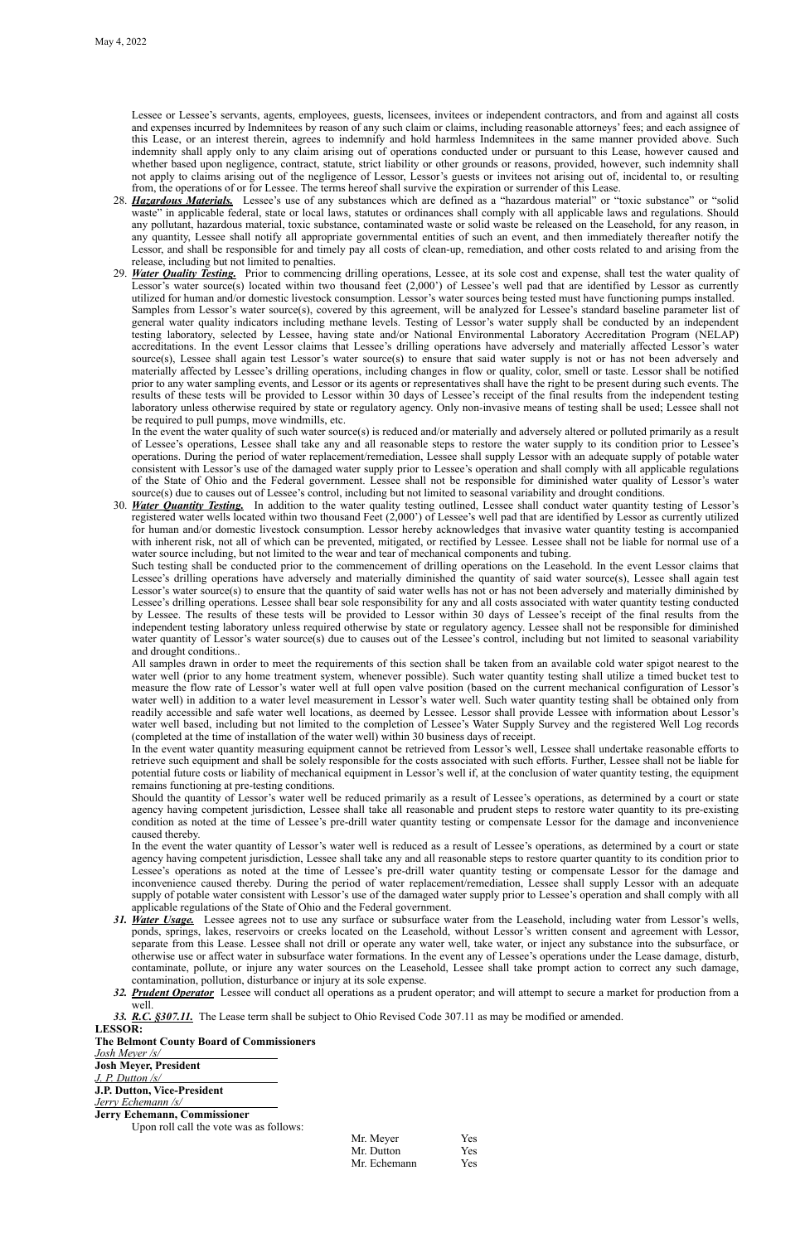Lessee or Lessee's servants, agents, employees, guests, licensees, invitees or independent contractors, and from and against all costs and expenses incurred by Indemnitees by reason of any such claim or claims, including reasonable attorneys' fees; and each assignee of this Lease, or an interest therein, agrees to indemnify and hold harmless Indemnitees in the same manner provided above. Such indemnity shall apply only to any claim arising out of operations conducted under or pursuant to this Lease, however caused and whether based upon negligence, contract, statute, strict liability or other grounds or reasons, provided, however, such indemnity shall not apply to claims arising out of the negligence of Lessor, Lessor's guests or invitees not arising out of, incidental to, or resulting from, the operations of or for Lessee. The terms hereof shall survive the expiration or surrender of this Lease.

- 28. *Hazardous Materials.* Lessee's use of any substances which are defined as a "hazardous material" or "toxic substance" or "solid waste" in applicable federal, state or local laws, statutes or ordinances shall comply with all applicable laws and regulations. Should any pollutant, hazardous material, toxic substance, contaminated waste or solid waste be released on the Leasehold, for any reason, in any quantity, Lessee shall notify all appropriate governmental entities of such an event, and then immediately thereafter notify the Lessor, and shall be responsible for and timely pay all costs of clean-up, remediation, and other costs related to and arising from the release, including but not limited to penalties.
- 29. *Water Quality Testing.* Prior to commencing drilling operations, Lessee, at its sole cost and expense, shall test the water quality of Lessor's water source(s) located within two thousand feet (2,000') of Lessee's well pad that are identified by Lessor as currently utilized for human and/or domestic livestock consumption. Lessor's water sources being tested must have functioning pumps installed. Samples from Lessor's water source(s), covered by this agreement, will be analyzed for Lessee's standard baseline parameter list of general water quality indicators including methane levels. Testing of Lessor's water supply shall be conducted by an independent testing laboratory, selected by Lessee, having state and/or National Environmental Laboratory Accreditation Program (NELAP) accreditations. In the event Lessor claims that Lessee's drilling operations have adversely and materially affected Lessor's water source(s), Lessee shall again test Lessor's water source(s) to ensure that said water supply is not or has not been adversely and materially affected by Lessee's drilling operations, including changes in flow or quality, color, smell or taste. Lessor shall be notified prior to any water sampling events, and Lessor or its agents or representatives shall have the right to be present during such events. The results of these tests will be provided to Lessor within 30 days of Lessee's receipt of the final results from the independent testing laboratory unless otherwise required by state or regulatory agency. Only non-invasive means of testing shall be used; Lessee shall not be required to pull pumps, move windmills, etc.

In the event the water quality of such water source(s) is reduced and/or materially and adversely altered or polluted primarily as a result of Lessee's operations, Lessee shall take any and all reasonable steps to restore the water supply to its condition prior to Lessee's operations. During the period of water replacement/remediation, Lessee shall supply Lessor with an adequate supply of potable water consistent with Lessor's use of the damaged water supply prior to Lessee's operation and shall comply with all applicable regulations of the State of Ohio and the Federal government. Lessee shall not be responsible for diminished water quality of Lessor's water source(s) due to causes out of Lessee's control, including but not limited to seasonal variability and drought conditions.

30. *Water Quantity Testing.* In addition to the water quality testing outlined, Lessee shall conduct water quantity testing of Lessor's registered water wells located within two thousand Feet (2,000') of Lessee's well pad that are identified by Lessor as currently utilized for human and/or domestic livestock consumption. Lessor hereby acknowledges that invasive water quantity testing is accompanied with inherent risk, not all of which can be prevented, mitigated, or rectified by Lessee. Lessee shall not be liable for normal use of a water source including, but not limited to the wear and tear of mechanical components and tubing.

Such testing shall be conducted prior to the commencement of drilling operations on the Leasehold. In the event Lessor claims that Lessee's drilling operations have adversely and materially diminished the quantity of said water source(s), Lessee shall again test Lessor's water source(s) to ensure that the quantity of said water wells has not or has not been adversely and materially diminished by Lessee's drilling operations. Lessee shall bear sole responsibility for any and all costs associated with water quantity testing conducted by Lessee. The results of these tests will be provided to Lessor within 30 days of Lessee's receipt of the final results from the independent testing laboratory unless required otherwise by state or regulatory agency. Lessee shall not be responsible for diminished water quantity of Lessor's water source(s) due to causes out of the Lessee's control, including but not limited to seasonal variability and drought conditions..

All samples drawn in order to meet the requirements of this section shall be taken from an available cold water spigot nearest to the water well (prior to any home treatment system, whenever possible). Such water quantity testing shall utilize a timed bucket test to measure the flow rate of Lessor's water well at full open valve position (based on the current mechanical configuration of Lessor's water well) in addition to a water level measurement in Lessor's water well. Such water quantity testing shall be obtained only from readily accessible and safe water well locations, as deemed by Lessee. Lessor shall provide Lessee with information about Lessor's water well based, including but not limited to the completion of Lessee's Water Supply Survey and the registered Well Log records (completed at the time of installation of the water well) within 30 business days of receipt.

In the event water quantity measuring equipment cannot be retrieved from Lessor's well, Lessee shall undertake reasonable efforts to retrieve such equipment and shall be solely responsible for the costs associated with such efforts. Further, Lessee shall not be liable for potential future costs or liability of mechanical equipment in Lessor's well if, at the conclusion of water quantity testing, the equipment remains functioning at pre-testing conditions.

Should the quantity of Lessor's water well be reduced primarily as a result of Lessee's operations, as determined by a court or state agency having competent jurisdiction, Lessee shall take all reasonable and prudent steps to restore water quantity to its pre-existing condition as noted at the time of Lessee's pre-drill water quantity testing or compensate Lessor for the damage and inconvenience caused thereby.

In the event the water quantity of Lessor's water well is reduced as a result of Lessee's operations, as determined by a court or state agency having competent jurisdiction, Lessee shall take any and all reasonable steps to restore quarter quantity to its condition prior to Lessee's operations as noted at the time of Lessee's pre-drill water quantity testing or compensate Lessor for the damage and inconvenience caused thereby. During the period of water replacement/remediation, Lessee shall supply Lessor with an adequate supply of potable water consistent with Lessor's use of the damaged water supply prior to Lessee's operation and shall comply with all applicable regulations of the State of Ohio and the Federal government.

- *31. Water Usage.* Lessee agrees not to use any surface or subsurface water from the Leasehold, including water from Lessor's wells, ponds, springs, lakes, reservoirs or creeks located on the Leasehold, without Lessor's written consent and agreement with Lessor, separate from this Lease. Lessee shall not drill or operate any water well, take water, or inject any substance into the subsurface, or otherwise use or affect water in subsurface water formations. In the event any of Lessee's operations under the Lease damage, disturb, contaminate, pollute, or injure any water sources on the Leasehold, Lessee shall take prompt action to correct any such damage, contamination, pollution, disturbance or injury at its sole expense.
- *32. Prudent Operator* Lessee will conduct all operations as a prudent operator; and will attempt to secure a market for production from a well.

*33. R.C. §307.11.* The Lease term shall be subject to Ohio Revised Code 307.11 as may be modified or amended.

## **LESSOR:**

### **The Belmont County Board of Commissioners**

*Josh Meyer /s/*

### **Josh Meyer, President**

*J. P. Dutton /s/*

## **J.P. Dutton, Vice-President**

*Jerry Echemann /s/*

## **Jerry Echemann, Commissioner**

Upon roll call the vote was as follows:

| Mr. Meyer    | Yes        |
|--------------|------------|
| Mr. Dutton   | <b>Yes</b> |
| Mr. Echemann | Yes        |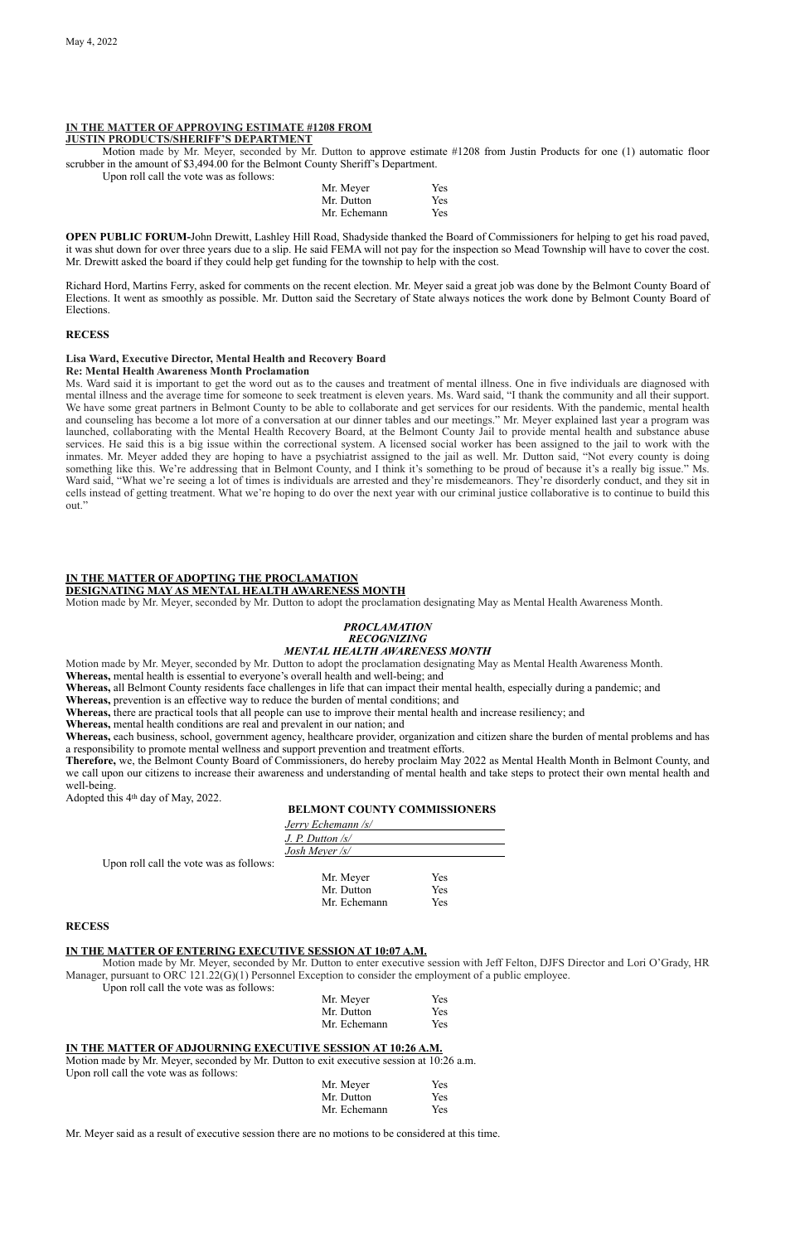#### **IN THE MATTER OF APPROVING ESTIMATE #1208 FROM JUSTIN PRODUCTS/SHERIFF'S DEPARTMENT**

Motion made by Mr. Meyer, seconded by Mr. Dutton to approve estimate #1208 from Justin Products for one (1) automatic floor scrubber in the amount of \$3,494.00 for the Belmont County Sheriff's Department.

Upon roll call the vote was as follows:

| Mr. Meyer    | <b>Yes</b> |
|--------------|------------|
| Mr. Dutton   | <b>Yes</b> |
| Mr. Echemann | <b>Yes</b> |

**OPEN PUBLIC FORUM-John Drewitt, Lashley Hill Road, Shadyside thanked the Board of Commissioners for helping to get his road paved,** it was shut down for over three years due to a slip. He said FEMA will not pay for the inspection so Mead Township will have to cover the cost. Mr. Drewitt asked the board if they could help get funding for the township to help with the cost.

Richard Hord, Martins Ferry, asked for comments on the recent election. Mr. Meyer said a great job was done by the Belmont County Board of Elections. It went as smoothly as possible. Mr. Dutton said the Secretary of State always notices the work done by Belmont County Board of Elections.

### **RECESS**

## **Lisa Ward, Executive Director, Mental Health and Recovery Board**

## **Re: Mental Health Awareness Month Proclamation**

Ms. Ward said it is important to get the word out as to the causes and treatment of mental illness. One in five individuals are diagnosed with mental illness and the average time for someone to seek treatment is eleven years. Ms. Ward said, "I thank the community and all their support. We have some great partners in Belmont County to be able to collaborate and get services for our residents. With the pandemic, mental health and counseling has become a lot more of a conversation at our dinner tables and our meetings." Mr. Meyer explained last year a program was launched, collaborating with the Mental Health Recovery Board, at the Belmont County Jail to provide mental health and substance abuse services. He said this is a big issue within the correctional system. A licensed social worker has been assigned to the jail to work with the inmates. Mr. Meyer added they are hoping to have a psychiatrist assigned to the jail as well. Mr. Dutton said, "Not every county is doing something like this. We're addressing that in Belmont County, and I think it's something to be proud of because it's a really big issue." Ms. Ward said, "What we're seeing a lot of times is individuals are arrested and they're misdemeanors. They're disorderly conduct, and they sit in cells instead of getting treatment. What we're hoping to do over the next year with our criminal justice collaborative is to continue to build this out."

## **IN THE MATTER OF ADOPTING THE PROCLAMATION**

**DESIGNATING MAY AS MENTAL HEALTH AWARENESS MONTH**

Motion made by Mr. Meyer, seconded by Mr. Dutton to adopt the proclamation designating May as Mental Health Awareness Month.

# *PROCLAMATION RECOGNIZING*

# *MENTAL HEALTH AWARENESS MONTH*

Motion made by Mr. Meyer, seconded by Mr. Dutton to adopt the proclamation designating May as Mental Health Awareness Month. **Whereas,** mental health is essential to everyone's overall health and well-being; and

**Whereas,** all Belmont County residents face challenges in life that can impact their mental health, especially during a pandemic; and

**Whereas,** prevention is an effective way to reduce the burden of mental conditions; and

**Whereas,** there are practical tools that all people can use to improve their mental health and increase resiliency; and

**Whereas,** mental health conditions are real and prevalent in our nation; and

**Whereas,** each business, school, government agency, healthcare provider, organization and citizen share the burden of mental problems and has a responsibility to promote mental wellness and support prevention and treatment efforts.

**Therefore,** we, the Belmont County Board of Commissioners, do hereby proclaim May 2022 as Mental Health Month in Belmont County, and we call upon our citizens to increase their awareness and understanding of mental health and take steps to protect their own mental health and well-being.

Adopted this 4th day of May, 2022.

## **BELMONT COUNTY COMMISSIONERS**

| <u>Jerry Echemann /s/</u> |  |
|---------------------------|--|
| $J. P.$ Dutton $\sqrt{s}$ |  |
| Josh Meyer /s/            |  |
|                           |  |

Upon roll call the vote was as follows:

| Yes |
|-----|
| Yes |
| Yes |
|     |

### **RECESS**

### **IN THE MATTER OF ENTERING EXECUTIVE SESSION AT 10:07 A.M.**

Motion made by Mr. Meyer, seconded by Mr. Dutton to enter executive session with Jeff Felton, DJFS Director and Lori O'Grady, HR Manager, pursuant to ORC 121.22(G)(1) Personnel Exception to consider the employment of a public employee.

Upon roll call the vote was as follows:

| Mr. Meyer    | Yes        |
|--------------|------------|
| Mr. Dutton   | Yes        |
| Mr. Echemann | <b>Yes</b> |

### **IN THE MATTER OF ADJOURNING EXECUTIVE SESSION AT 10:26 A.M.**

Motion made by Mr. Meyer, seconded by Mr. Dutton to exit executive session at 10:26 a.m. Upon roll call the vote was as follows:

| Mr. Meyer    | Yes        |
|--------------|------------|
| Mr. Dutton   | Yes        |
| Mr. Echemann | <b>Yes</b> |

Mr. Meyer said as a result of executive session there are no motions to be considered at this time.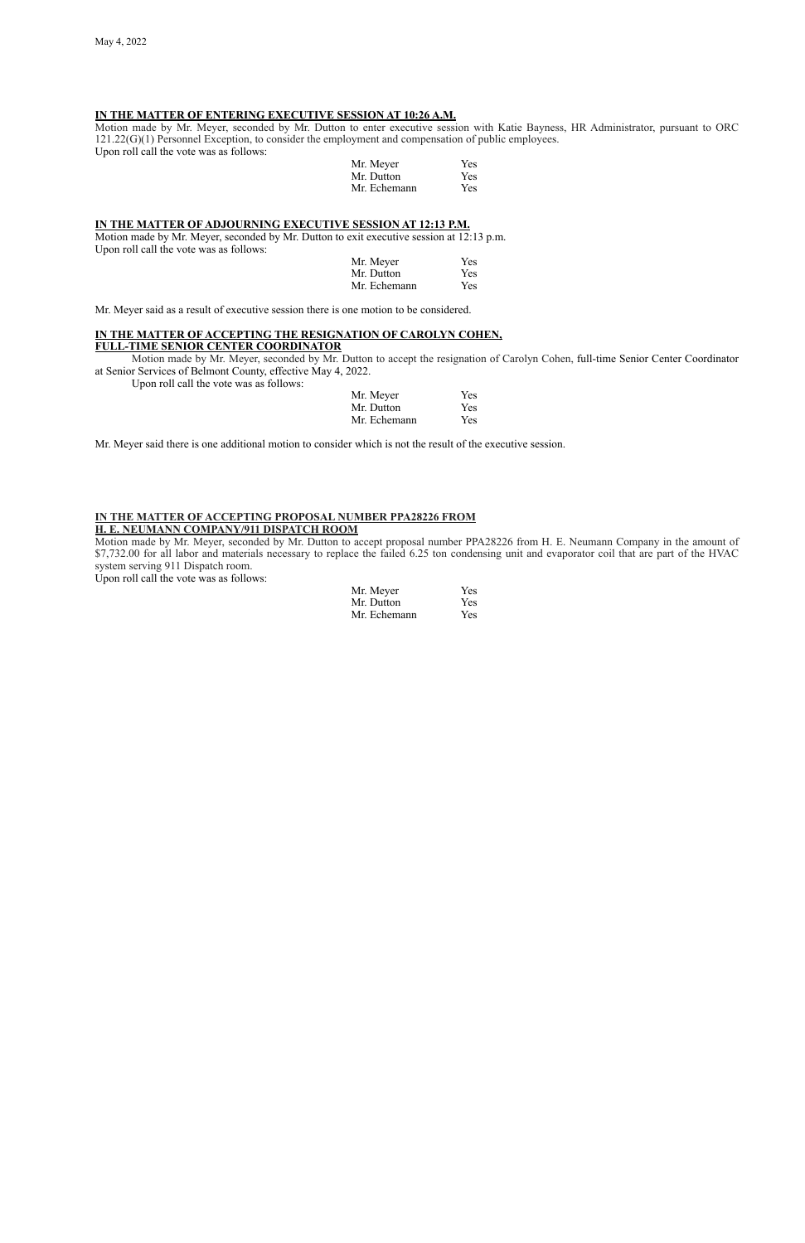## **IN THE MATTER OF ENTERING EXECUTIVE SESSION AT 10:26 A.M.**

Motion made by Mr. Meyer, seconded by Mr. Dutton to enter executive session with Katie Bayness, HR Administrator, pursuant to ORC 121.22(G)(1) Personnel Exception, to consider the employment and compensation of public employees. Upon roll call the vote was as follows:

| Mr. Meyer    | Yes        |
|--------------|------------|
| Mr. Dutton   | <b>Yes</b> |
| Mr. Echemann | Yes        |

### **IN THE MATTER OF ADJOURNING EXECUTIVE SESSION AT 12:13 P.M.**

Motion made by Mr. Meyer, seconded by Mr. Dutton to exit executive session at 12:13 p.m. Upon roll call the vote was as follows:

| Mr. Meyer    | Yes |
|--------------|-----|
| Mr. Dutton   | Yes |
| Mr. Echemann | Yes |

Mr. Meyer said as a result of executive session there is one motion to be considered.

# **IN THE MATTER OF ACCEPTING THE RESIGNATION OF CAROLYN COHEN,**

## **FULL-TIME SENIOR CENTER COORDINATOR**

Motion made by Mr. Meyer, seconded by Mr. Dutton to accept the resignation of Carolyn Cohen, full-time Senior Center Coordinator at Senior Services of Belmont County, effective May 4, 2022.

Upon roll call the vote was as follows:

| Mr. Meyer    | Yes |
|--------------|-----|
| Mr. Dutton   | Yes |
| Mr. Echemann | Yes |

Mr. Meyer said there is one additional motion to consider which is not the result of the executive session.

### **IN THE MATTER OF ACCEPTING PROPOSAL NUMBER PPA28226 FROM H. E. NEUMANN COMPANY/911 DISPATCH ROOM**

Motion made by Mr. Meyer, seconded by Mr. Dutton to accept proposal number PPA28226 from H. E. Neumann Company in the amount of \$7,732.00 for all labor and materials necessary to replace the failed 6.25 ton condensing unit and evaporator coil that are part of the HVAC system serving 911 Dispatch room.

Upon roll call the vote was as follows:

| Mr. Meyer    | Yes |
|--------------|-----|
| Mr. Dutton   | Yes |
| Mr. Echemann | Yes |